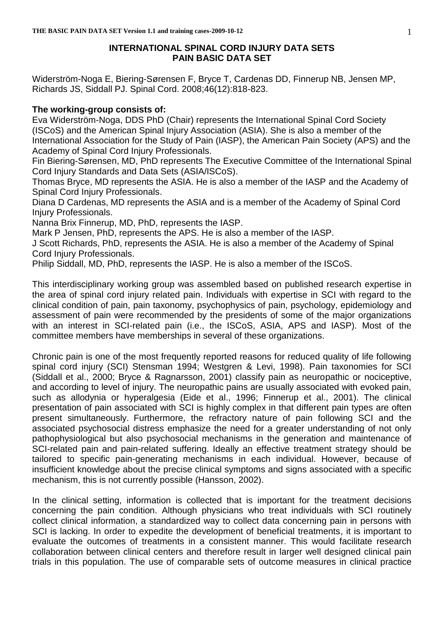# **INTERNATIONAL SPINAL CORD INJURY DATA SETS PAIN BASIC DATA SET**

Widerström-Noga E, Biering-Sørensen F, Bryce T, Cardenas DD, Finnerup NB, Jensen MP, Richards JS, Siddall PJ. Spinal Cord. 2008;46(12):818-823.

# **The working-group consists of:**

Eva Widerström-Noga, DDS PhD (Chair) represents the International Spinal Cord Society (ISCoS) and the American Spinal Injury Association (ASIA). She is also a member of the International Association for the Study of Pain (IASP), the American Pain Society (APS) and the Academy of Spinal Cord Injury Professionals.

Fin Biering-Sørensen, MD, PhD represents The Executive Committee of the International Spinal Cord Injury Standards and Data Sets (ASIA/ISCoS).

Thomas Bryce, MD represents the ASIA. He is also a member of the IASP and the Academy of Spinal Cord Injury Professionals.

Diana D Cardenas, MD represents the ASIA and is a member of the Academy of Spinal Cord Injury Professionals.

Nanna Brix Finnerup, MD, PhD, represents the IASP.

Mark P Jensen, PhD, represents the APS. He is also a member of the IASP.

J Scott Richards, PhD, represents the ASIA. He is also a member of the Academy of Spinal Cord Injury Professionals.

Philip Siddall, MD, PhD, represents the IASP. He is also a member of the ISCoS.

This interdisciplinary working group was assembled based on published research expertise in the area of spinal cord injury related pain. Individuals with expertise in SCI with regard to the clinical condition of pain, pain taxonomy, psychophysics of pain, psychology, epidemiology and assessment of pain were recommended by the presidents of some of the major organizations with an interest in SCI-related pain (i.e., the ISCoS, ASIA, APS and IASP). Most of the committee members have memberships in several of these organizations.

Chronic pain is one of the most frequently reported reasons for reduced quality of life following spinal cord injury (SCI) Stensman 1994; Westgren & Levi, 1998). Pain taxonomies for SCI (Siddall et al., 2000; Bryce & Ragnarsson, 2001) classify pain as neuropathic or nociceptive, and according to level of injury. The neuropathic pains are usually associated with evoked pain, such as allodynia or hyperalgesia (Eide et al., 1996; Finnerup et al., 2001). The clinical presentation of pain associated with SCI is highly complex in that different pain types are often present simultaneously. Furthermore, the refractory nature of pain following SCI and the associated psychosocial distress emphasize the need for a greater understanding of not only pathophysiological but also psychosocial mechanisms in the generation and maintenance of SCI-related pain and pain-related suffering. Ideally an effective treatment strategy should be tailored to specific pain-generating mechanisms in each individual. However, because of insufficient knowledge about the precise clinical symptoms and signs associated with a specific mechanism, this is not currently possible (Hansson, 2002).

In the clinical setting, information is collected that is important for the treatment decisions concerning the pain condition. Although physicians who treat individuals with SCI routinely collect clinical information, a standardized way to collect data concerning pain in persons with SCI is lacking. In order to expedite the development of beneficial treatments, it is important to evaluate the outcomes of treatments in a consistent manner. This would facilitate research collaboration between clinical centers and therefore result in larger well designed clinical pain trials in this population. The use of comparable sets of outcome measures in clinical practice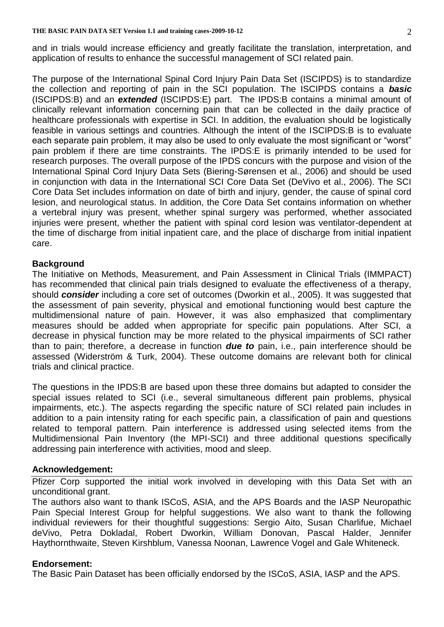and in trials would increase efficiency and greatly facilitate the translation, interpretation, and application of results to enhance the successful management of SCI related pain.

The purpose of the International Spinal Cord Injury Pain Data Set (ISCIPDS) is to standardize the collection and reporting of pain in the SCI population. The ISCIPDS contains a *basic* (ISCIPDS:B) and an *extended* (ISCIPDS:E) part. The IPDS:B contains a minimal amount of clinically relevant information concerning pain that can be collected in the daily practice of healthcare professionals with expertise in SCI. In addition, the evaluation should be logistically feasible in various settings and countries. Although the intent of the ISCIPDS:B is to evaluate each separate pain problem, it may also be used to only evaluate the most significant or "worst" pain problem if there are time constraints. The IPDS:E is primarily intended to be used for research purposes. The overall purpose of the IPDS concurs with the purpose and vision of the International Spinal Cord Injury Data Sets (Biering-Sørensen et al., 2006) and should be used in conjunction with data in the International SCI Core Data Set (DeVivo et al., 2006). The SCI Core Data Set includes information on date of birth and injury, gender, the cause of spinal cord lesion, and neurological status. In addition, the Core Data Set contains information on whether a vertebral injury was present, whether spinal surgery was performed, whether associated injuries were present, whether the patient with spinal cord lesion was ventilator-dependent at the time of discharge from initial inpatient care, and the place of discharge from initial inpatient care.

# **Background**

The Initiative on Methods, Measurement, and Pain Assessment in Clinical Trials (IMMPACT) has recommended that clinical pain trials designed to evaluate the effectiveness of a therapy, should *consider* including a core set of outcomes (Dworkin et al., 2005). It was suggested that the assessment of pain severity, physical and emotional functioning would best capture the multidimensional nature of pain. However, it was also emphasized that complimentary measures should be added when appropriate for specific pain populations. After SCI, a decrease in physical function may be more related to the physical impairments of SCI rather than to pain; therefore, a decrease in function *due to* pain, i.e., pain interference should be assessed (Widerström & Turk, 2004). These outcome domains are relevant both for clinical trials and clinical practice.

The questions in the IPDS:B are based upon these three domains but adapted to consider the special issues related to SCI (i.e., several simultaneous different pain problems, physical impairments, etc.). The aspects regarding the specific nature of SCI related pain includes in addition to a pain intensity rating for each specific pain, a classification of pain and questions related to temporal pattern. Pain interference is addressed using selected items from the Multidimensional Pain Inventory (the MPI-SCI) and three additional questions specifically addressing pain interference with activities, mood and sleep.

### **Acknowledgement:**

Pfizer Corp supported the initial work involved in developing with this Data Set with an unconditional grant.

The authors also want to thank ISCoS, ASIA, and the APS Boards and the IASP Neuropathic Pain Special Interest Group for helpful suggestions. We also want to thank the following individual reviewers for their thoughtful suggestions: Sergio Aito, Susan Charlifue, Michael deVivo, Petra Dokladal, Robert Dworkin, William Donovan, Pascal Halder, Jennifer Haythornthwaite, Steven Kirshblum, Vanessa Noonan, Lawrence Vogel and Gale Whiteneck.

### **Endorsement:**

The Basic Pain Dataset has been officially endorsed by the ISCoS, ASIA, IASP and the APS.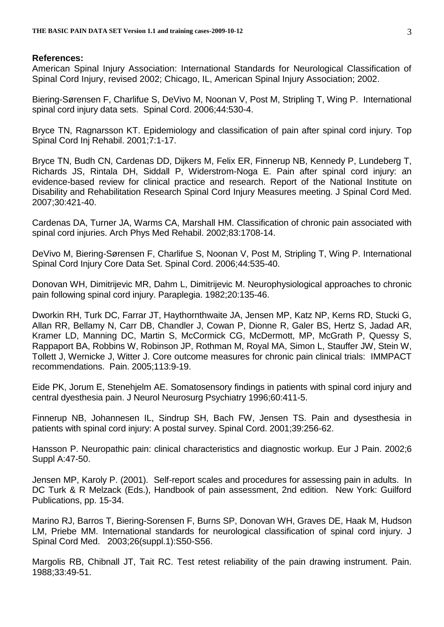### **References:**

American Spinal Injury Association: International Standards for Neurological Classification of Spinal Cord Injury, revised 2002; Chicago, IL, American Spinal Injury Association; 2002.

Biering-Sørensen F, Charlifue S, DeVivo M, Noonan V, Post M, Stripling T, Wing P. International spinal cord injury data sets. Spinal Cord. 2006;44:530-4.

Bryce TN, Ragnarsson KT. Epidemiology and classification of pain after spinal cord injury. Top Spinal Cord Inj Rehabil. 2001;7:1-17.

Bryce TN, Budh CN, Cardenas DD, Dijkers M, Felix ER, Finnerup NB, Kennedy P, Lundeberg T, Richards JS, Rintala DH, Siddall P, Widerstrom-Noga E. Pain after spinal cord injury: an evidence-based review for clinical practice and research. Report of the National Institute on Disability and Rehabilitation Research Spinal Cord Injury Measures meeting. J Spinal Cord Med. 2007;30:421-40.

Cardenas DA, Turner JA, Warms CA, Marshall HM. Classification of chronic pain associated with spinal cord injuries. Arch Phys Med Rehabil. 2002;83:1708-14.

DeVivo M, Biering-Sørensen F, Charlifue S, Noonan V, Post M, Stripling T, Wing P. International Spinal Cord Injury Core Data Set. Spinal Cord. 2006;44:535-40.

Donovan WH, Dimitrijevic MR, Dahm L, Dimitrijevic M. Neurophysiological approaches to chronic pain following spinal cord injury. Paraplegia. 1982;20:135-46.

Dworkin RH, Turk DC, Farrar JT, Haythornthwaite JA, Jensen MP, Katz NP, Kerns RD, Stucki G, Allan RR, Bellamy N, Carr DB, Chandler J, Cowan P, Dionne R, Galer BS, Hertz S, Jadad AR, Kramer LD, Manning DC, Martin S, McCormick CG, McDermott, MP, McGrath P, Quessy S, Rappaport BA, Robbins W, Robinson JP, Rothman M, Royal MA, Simon L, Stauffer JW, Stein W, Tollett J, Wernicke J, Witter J. Core outcome measures for chronic pain clinical trials: IMMPACT recommendations. Pain. 2005;113:9-19.

Eide PK, Jorum E, Stenehjelm AE. Somatosensory findings in patients with spinal cord injury and central dyesthesia pain. J Neurol Neurosurg Psychiatry 1996;60:411-5.

Finnerup NB, Johannesen IL, Sindrup SH, Bach FW, Jensen TS. Pain and dysesthesia in patients with spinal cord injury: A postal survey. Spinal Cord. 2001;39:256-62.

Hansson P. Neuropathic pain: clinical characteristics and diagnostic workup. Eur J Pain. 2002;6 Suppl A:47-50.

Jensen MP, Karoly P. (2001). Self-report scales and procedures for assessing pain in adults. In DC Turk & R Melzack (Eds.), Handbook of pain assessment, 2nd edition. New York: Guilford Publications, pp. 15-34.

Marino RJ, Barros T, Biering-Sorensen F, Burns SP, Donovan WH, Graves DE, Haak M, Hudson LM, Priebe MM. International standards for neurological classification of spinal cord injury. J Spinal Cord Med. 2003;26(suppl.1):S50-S56.

Margolis RB, Chibnall JT, Tait RC. Test retest reliability of the pain drawing instrument. Pain. 1988;33:49-51.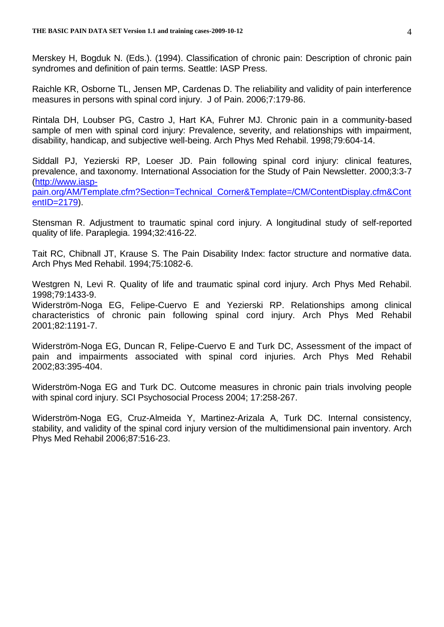Merskey H, Bogduk N. (Eds.). (1994). Classification of chronic pain: Description of chronic pain syndromes and definition of pain terms. Seattle: IASP Press.

Raichle KR, Osborne TL, Jensen MP, Cardenas D. The reliability and validity of pain interference measures in persons with spinal cord injury. J of Pain. 2006;7:179-86.

Rintala DH, Loubser PG, Castro J, Hart KA, Fuhrer MJ. Chronic pain in a community-based sample of men with spinal cord injury: Prevalence, severity, and relationships with impairment, disability, handicap, and subjective well-being. Arch Phys Med Rehabil. 1998;79:604-14.

Siddall PJ, Yezierski RP, Loeser JD. Pain following spinal cord injury: clinical features, prevalence, and taxonomy. International Association for the Study of Pain Newsletter. 2000;3:3-7 [\(http://www.iasp-](http://www.iasp-pain.org/AM/Template.cfm?Section=Technical_Corner&Template=/CM/ContentDisplay.cfm&ContentID=2179)

[pain.org/AM/Template.cfm?Section=Technical\\_Corner&Template=/CM/ContentDisplay.cfm&Cont](http://www.iasp-pain.org/AM/Template.cfm?Section=Technical_Corner&Template=/CM/ContentDisplay.cfm&ContentID=2179) [entID=2179\)](http://www.iasp-pain.org/AM/Template.cfm?Section=Technical_Corner&Template=/CM/ContentDisplay.cfm&ContentID=2179).

Stensman R. Adjustment to traumatic spinal cord injury. A longitudinal study of self-reported quality of life. Paraplegia. 1994;32:416-22.

Tait RC, Chibnall JT, Krause S. The Pain Disability Index: factor structure and normative data. Arch Phys Med Rehabil. 1994;75:1082-6.

Westgren N, Levi R. Quality of life and traumatic spinal cord injury. Arch Phys Med Rehabil. 1998;79:1433-9.

Widerström-Noga EG, Felipe-Cuervo E and Yezierski RP. Relationships among clinical characteristics of chronic pain following spinal cord injury. Arch Phys Med Rehabil 2001;82:1191-7.

Widerström-Noga EG, Duncan R, Felipe-Cuervo E and Turk DC, Assessment of the impact of pain and impairments associated with spinal cord injuries. Arch Phys Med Rehabil 2002;83:395-404.

Widerström-Noga EG and Turk DC. Outcome measures in chronic pain trials involving people with spinal cord injury. SCI Psychosocial Process 2004; 17:258-267.

Widerström-Noga EG, Cruz-Almeida Y, Martinez-Arizala A, Turk DC. Internal consistency, stability, and validity of the spinal cord injury version of the multidimensional pain inventory. Arch Phys Med Rehabil 2006;87:516-23.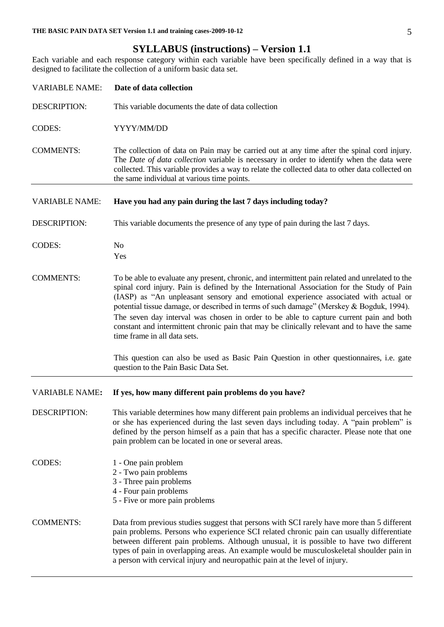# **SYLLABUS (instructions) – Version 1.1**

Each variable and each response category within each variable have been specifically defined in a way that is designed to facilitate the collection of a uniform basic data set.

| <b>VARIABLE NAME:</b> | Date of data collection                                                                                                                                                                                                                                                                                                                                                                                                                                                                                                                                                                                   |
|-----------------------|-----------------------------------------------------------------------------------------------------------------------------------------------------------------------------------------------------------------------------------------------------------------------------------------------------------------------------------------------------------------------------------------------------------------------------------------------------------------------------------------------------------------------------------------------------------------------------------------------------------|
| <b>DESCRIPTION:</b>   | This variable documents the date of data collection                                                                                                                                                                                                                                                                                                                                                                                                                                                                                                                                                       |
| <b>CODES:</b>         | YYYY/MM/DD                                                                                                                                                                                                                                                                                                                                                                                                                                                                                                                                                                                                |
| <b>COMMENTS:</b>      | The collection of data on Pain may be carried out at any time after the spinal cord injury.<br>The Date of data collection variable is necessary in order to identify when the data were<br>collected. This variable provides a way to relate the collected data to other data collected on<br>the same individual at various time points.                                                                                                                                                                                                                                                                |
| <b>VARIABLE NAME:</b> | Have you had any pain during the last 7 days including today?                                                                                                                                                                                                                                                                                                                                                                                                                                                                                                                                             |
| <b>DESCRIPTION:</b>   | This variable documents the presence of any type of pain during the last 7 days.                                                                                                                                                                                                                                                                                                                                                                                                                                                                                                                          |
| <b>CODES:</b>         | N <sub>0</sub><br>Yes                                                                                                                                                                                                                                                                                                                                                                                                                                                                                                                                                                                     |
| <b>COMMENTS:</b>      | To be able to evaluate any present, chronic, and intermittent pain related and unrelated to the<br>spinal cord injury. Pain is defined by the International Association for the Study of Pain<br>(IASP) as "An unpleasant sensory and emotional experience associated with actual or<br>potential tissue damage, or described in terms of such damage" (Merskey & Bogduk, 1994).<br>The seven day interval was chosen in order to be able to capture current pain and both<br>constant and intermittent chronic pain that may be clinically relevant and to have the same<br>time frame in all data sets. |
|                       | This question can also be used as Basic Pain Question in other questionnaires, i.e. gate<br>question to the Pain Basic Data Set.                                                                                                                                                                                                                                                                                                                                                                                                                                                                          |
| <b>VARIABLE NAME:</b> | If yes, how many different pain problems do you have?                                                                                                                                                                                                                                                                                                                                                                                                                                                                                                                                                     |
| <b>DESCRIPTION:</b>   | This variable determines how many different pain problems an individual perceives that he<br>or she has experienced during the last seven days including today. A "pain problem" is<br>defined by the person himself as a pain that has a specific character. Please note that one<br>pain problem can be located in one or several areas.                                                                                                                                                                                                                                                                |
| <b>CODES:</b>         | 1 - One pain problem<br>2 - Two pain problems<br>3 - Three pain problems<br>4 - Four pain problems<br>5 - Five or more pain problems                                                                                                                                                                                                                                                                                                                                                                                                                                                                      |
| <b>COMMENTS:</b>      | Data from previous studies suggest that persons with SCI rarely have more than 5 different<br>pain problems. Persons who experience SCI related chronic pain can usually differentiate<br>between different pain problems. Although unusual, it is possible to have two different<br>types of pain in overlapping areas. An example would be musculoskeletal shoulder pain in<br>a person with cervical injury and neuropathic pain at the level of injury.                                                                                                                                               |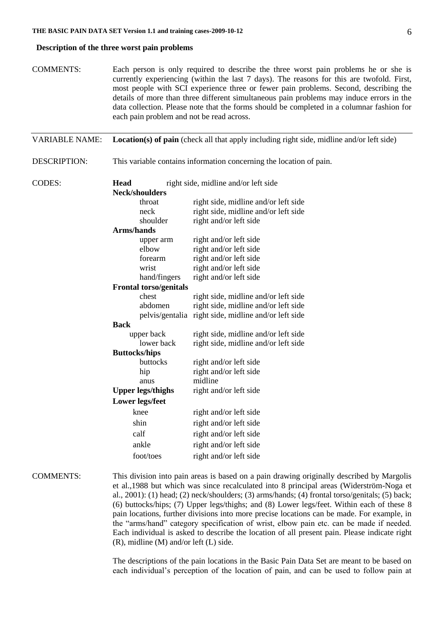#### **Description of the three worst pain problems**

| <b>COMMENTS:</b>      | each pain problem and not be read across.                                    | Each person is only required to describe the three worst pain problems he or she is<br>currently experiencing (within the last 7 days). The reasons for this are twofold. First,<br>most people with SCI experience three or fewer pain problems. Second, describing the<br>details of more than three different simultaneous pain problems may induce errors in the<br>data collection. Please note that the forms should be completed in a columnar fashion for |  |
|-----------------------|------------------------------------------------------------------------------|-------------------------------------------------------------------------------------------------------------------------------------------------------------------------------------------------------------------------------------------------------------------------------------------------------------------------------------------------------------------------------------------------------------------------------------------------------------------|--|
| <b>VARIABLE NAME:</b> |                                                                              | <b>Location(s) of pain (check all that apply including right side, midline and/or left side)</b>                                                                                                                                                                                                                                                                                                                                                                  |  |
| DESCRIPTION:          |                                                                              | This variable contains information concerning the location of pain.                                                                                                                                                                                                                                                                                                                                                                                               |  |
| CODES:                | <b>Head</b><br>right side, midline and/or left side<br><b>Neck/shoulders</b> |                                                                                                                                                                                                                                                                                                                                                                                                                                                                   |  |
|                       | throat                                                                       | right side, midline and/or left side                                                                                                                                                                                                                                                                                                                                                                                                                              |  |
|                       | neck                                                                         | right side, midline and/or left side                                                                                                                                                                                                                                                                                                                                                                                                                              |  |
|                       | shoulder                                                                     | right and/or left side                                                                                                                                                                                                                                                                                                                                                                                                                                            |  |
|                       | Arms/hands                                                                   |                                                                                                                                                                                                                                                                                                                                                                                                                                                                   |  |
|                       | upper arm                                                                    | right and/or left side                                                                                                                                                                                                                                                                                                                                                                                                                                            |  |
|                       | elbow                                                                        | right and/or left side                                                                                                                                                                                                                                                                                                                                                                                                                                            |  |
|                       | forearm                                                                      | right and/or left side                                                                                                                                                                                                                                                                                                                                                                                                                                            |  |
|                       | wrist                                                                        | right and/or left side                                                                                                                                                                                                                                                                                                                                                                                                                                            |  |
|                       | hand/fingers                                                                 | right and/or left side                                                                                                                                                                                                                                                                                                                                                                                                                                            |  |
|                       | <b>Frontal torso/genitals</b>                                                |                                                                                                                                                                                                                                                                                                                                                                                                                                                                   |  |
|                       | chest                                                                        | right side, midline and/or left side                                                                                                                                                                                                                                                                                                                                                                                                                              |  |
|                       | abdomen                                                                      | right side, midline and/or left side                                                                                                                                                                                                                                                                                                                                                                                                                              |  |
|                       |                                                                              | pelvis/gentalia right side, midline and/or left side                                                                                                                                                                                                                                                                                                                                                                                                              |  |
|                       | <b>Back</b>                                                                  |                                                                                                                                                                                                                                                                                                                                                                                                                                                                   |  |
|                       | upper back                                                                   | right side, midline and/or left side                                                                                                                                                                                                                                                                                                                                                                                                                              |  |
|                       | lower back                                                                   | right side, midline and/or left side                                                                                                                                                                                                                                                                                                                                                                                                                              |  |
|                       | <b>Buttocks/hips</b>                                                         |                                                                                                                                                                                                                                                                                                                                                                                                                                                                   |  |
|                       | buttocks                                                                     | right and/or left side                                                                                                                                                                                                                                                                                                                                                                                                                                            |  |
|                       | hip                                                                          | right and/or left side                                                                                                                                                                                                                                                                                                                                                                                                                                            |  |
|                       | anus                                                                         | midline                                                                                                                                                                                                                                                                                                                                                                                                                                                           |  |
|                       | <b>Upper legs/thighs</b>                                                     | right and/or left side                                                                                                                                                                                                                                                                                                                                                                                                                                            |  |
|                       | <b>Lower legs/feet</b>                                                       |                                                                                                                                                                                                                                                                                                                                                                                                                                                                   |  |
|                       | knee                                                                         | right and/or left side                                                                                                                                                                                                                                                                                                                                                                                                                                            |  |
|                       | shin                                                                         | right and/or left side                                                                                                                                                                                                                                                                                                                                                                                                                                            |  |
|                       | calf                                                                         | right and/or left side                                                                                                                                                                                                                                                                                                                                                                                                                                            |  |
|                       | ankle                                                                        | right and/or left side                                                                                                                                                                                                                                                                                                                                                                                                                                            |  |
|                       | foot/toes                                                                    | right and/or left side                                                                                                                                                                                                                                                                                                                                                                                                                                            |  |
| <b>COMMENTS:</b>      |                                                                              | This division into pain areas is based on a pain drawing originally described by Margolis<br>et al. 1988 but which was since recalculated into 8 principal areas (Widerström-Noga et                                                                                                                                                                                                                                                                              |  |

et al.,1988 but which was since recalculated into 8 principal areas (Widerström-Noga et al., 2001): (1) head; (2) neck/shoulders; (3) arms/hands; (4) frontal torso/genitals; (5) back; (6) buttocks/hips; (7) Upper legs/thighs; and (8) Lower legs/feet. Within each of these 8 pain locations, further divisions into more precise locations can be made. For example, in the "arms/hand" category specification of wrist, elbow pain etc. can be made if needed. Each individual is asked to describe the location of all present pain. Please indicate right (R), midline (M) and/or left (L) side.

> The descriptions of the pain locations in the Basic Pain Data Set are meant to be based on each individual's perception of the location of pain, and can be used to follow pain at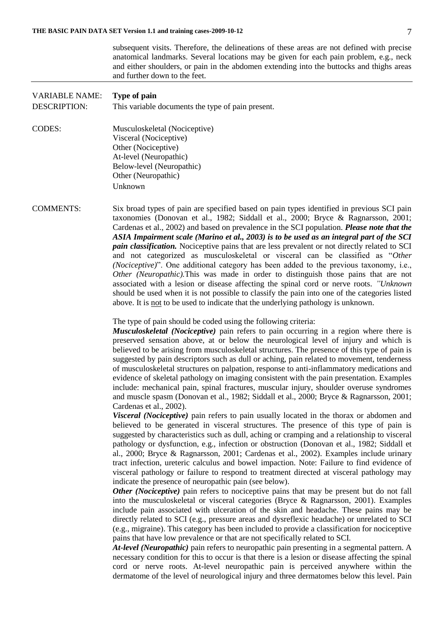|                                              | subsequent visits. Therefore, the delineations of these areas are not defined with precise<br>anatomical landmarks. Several locations may be given for each pain problem, e.g., neck<br>and either shoulders, or pain in the abdomen extending into the buttocks and thighs areas<br>and further down to the feet.                                                                                                                                                                                                                                                                                                                                                                                                                                                                                                                                                                                                                                                                                                                                                                                                                                                                                                                                                                                                                                                                                                                                                                                                                                                                                                                                                                                                                                                                                                                                                                                                                                                                                                                                                                                                                                                                                                                                                                                                                                                                                                                                                                                                                          |
|----------------------------------------------|---------------------------------------------------------------------------------------------------------------------------------------------------------------------------------------------------------------------------------------------------------------------------------------------------------------------------------------------------------------------------------------------------------------------------------------------------------------------------------------------------------------------------------------------------------------------------------------------------------------------------------------------------------------------------------------------------------------------------------------------------------------------------------------------------------------------------------------------------------------------------------------------------------------------------------------------------------------------------------------------------------------------------------------------------------------------------------------------------------------------------------------------------------------------------------------------------------------------------------------------------------------------------------------------------------------------------------------------------------------------------------------------------------------------------------------------------------------------------------------------------------------------------------------------------------------------------------------------------------------------------------------------------------------------------------------------------------------------------------------------------------------------------------------------------------------------------------------------------------------------------------------------------------------------------------------------------------------------------------------------------------------------------------------------------------------------------------------------------------------------------------------------------------------------------------------------------------------------------------------------------------------------------------------------------------------------------------------------------------------------------------------------------------------------------------------------------------------------------------------------------------------------------------------------|
| <b>VARIABLE NAME:</b><br><b>DESCRIPTION:</b> | Type of pain<br>This variable documents the type of pain present.                                                                                                                                                                                                                                                                                                                                                                                                                                                                                                                                                                                                                                                                                                                                                                                                                                                                                                                                                                                                                                                                                                                                                                                                                                                                                                                                                                                                                                                                                                                                                                                                                                                                                                                                                                                                                                                                                                                                                                                                                                                                                                                                                                                                                                                                                                                                                                                                                                                                           |
| <b>CODES:</b>                                | Musculoskeletal (Nociceptive)<br>Visceral (Nociceptive)<br>Other (Nociceptive)<br>At-level (Neuropathic)<br>Below-level (Neuropathic)<br>Other (Neuropathic)<br>Unknown                                                                                                                                                                                                                                                                                                                                                                                                                                                                                                                                                                                                                                                                                                                                                                                                                                                                                                                                                                                                                                                                                                                                                                                                                                                                                                                                                                                                                                                                                                                                                                                                                                                                                                                                                                                                                                                                                                                                                                                                                                                                                                                                                                                                                                                                                                                                                                     |
| <b>COMMENTS:</b>                             | Six broad types of pain are specified based on pain types identified in previous SCI pain<br>taxonomies (Donovan et al., 1982; Siddall et al., 2000; Bryce & Ragnarsson, 2001;<br>Cardenas et al., 2002) and based on prevalence in the SCI population. Please note that the<br>ASIA Impairment scale (Marino et al., 2003) is to be used as an integral part of the SCI<br><i>pain classification</i> . Nociceptive pains that are less prevalent or not directly related to SCI<br>and not categorized as musculoskeletal or visceral can be classified as "Other<br>( <i>Nociceptive</i> )". One additional category has been added to the previous taxonomy, i.e.,<br>Other (Neuropathic). This was made in order to distinguish those pains that are not<br>associated with a lesion or disease affecting the spinal cord or nerve roots. "Unknown"<br>should be used when it is not possible to classify the pain into one of the categories listed<br>above. It is not to be used to indicate that the underlying pathology is unknown.                                                                                                                                                                                                                                                                                                                                                                                                                                                                                                                                                                                                                                                                                                                                                                                                                                                                                                                                                                                                                                                                                                                                                                                                                                                                                                                                                                                                                                                                                              |
|                                              | The type of pain should be coded using the following criteria:<br>Musculoskeletal (Nociceptive) pain refers to pain occurring in a region where there is<br>preserved sensation above, at or below the neurological level of injury and which is<br>believed to be arising from musculoskeletal structures. The presence of this type of pain is<br>suggested by pain descriptors such as dull or aching, pain related to movement, tenderness<br>of musculoskeletal structures on palpation, response to anti-inflammatory medications and<br>evidence of skeletal pathology on imaging consistent with the pain presentation. Examples<br>include: mechanical pain, spinal fractures, muscular injury, shoulder overuse syndromes<br>and muscle spasm (Donovan et al., 1982; Siddall et al., 2000; Bryce & Ragnarsson, 2001;<br>Cardenas et al., 2002).<br>Visceral (Nociceptive) pain refers to pain usually located in the thorax or abdomen and<br>believed to be generated in visceral structures. The presence of this type of pain is<br>suggested by characteristics such as dull, aching or cramping and a relationship to visceral<br>pathology or dysfunction, e.g., infection or obstruction (Donovan et al., 1982; Siddall et<br>al., 2000; Bryce & Ragnarsson, 2001; Cardenas et al., 2002). Examples include urinary<br>tract infection, ureteric calculus and bowel impaction. Note: Failure to find evidence of<br>visceral pathology or failure to respond to treatment directed at visceral pathology may<br>indicate the presence of neuropathic pain (see below).<br><b>Other (Nociceptive)</b> pain refers to nociceptive pains that may be present but do not fall<br>into the musculoskeletal or visceral categories (Bryce & Ragnarsson, 2001). Examples<br>include pain associated with ulceration of the skin and headache. These pains may be<br>directly related to SCI (e.g., pressure areas and dysreflexic headache) or unrelated to SCI<br>(e.g., migraine). This category has been included to provide a classification for nociceptive<br>pains that have low prevalence or that are not specifically related to SCI.<br>At-level (Neuropathic) pain refers to neuropathic pain presenting in a segmental pattern. A<br>necessary condition for this to occur is that there is a lesion or disease affecting the spinal<br>cord or nerve roots. At-level neuropathic pain is perceived anywhere within the<br>dermatome of the level of neurological injury and three dermatomes below this level. Pain |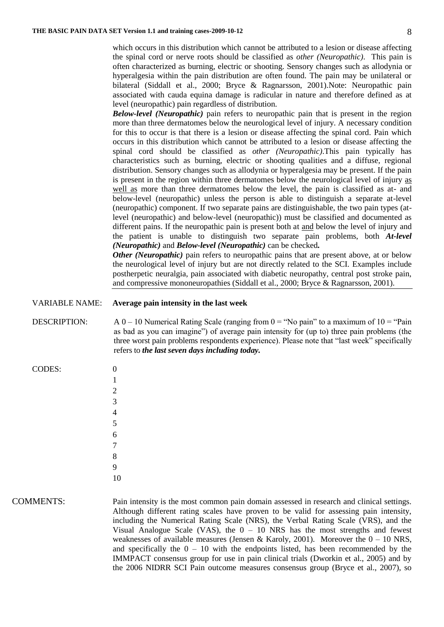which occurs in this distribution which cannot be attributed to a lesion or disease affecting the spinal cord or nerve roots should be classified as *other (Neuropathic)*. This pain is often characterized as burning, electric or shooting. Sensory changes such as allodynia or hyperalgesia within the pain distribution are often found. The pain may be unilateral or bilateral (Siddall et al., 2000; Bryce & Ragnarsson, 2001).Note: Neuropathic pain associated with cauda equina damage is radicular in nature and therefore defined as at level (neuropathic) pain regardless of distribution.

*Below-level (Neuropathic)* pain refers to neuropathic pain that is present in the region more than three dermatomes below the neurological level of injury. A necessary condition for this to occur is that there is a lesion or disease affecting the spinal cord. Pain which occurs in this distribution which cannot be attributed to a lesion or disease affecting the spinal cord should be classified as *other (Neuropathic)*.This pain typically has characteristics such as burning, electric or shooting qualities and a diffuse, regional distribution. Sensory changes such as allodynia or hyperalgesia may be present. If the pain is present in the region within three dermatomes below the neurological level of injury as well as more than three dermatomes below the level, the pain is classified as at- and below-level (neuropathic) unless the person is able to distinguish a separate at-level (neuropathic) component. If two separate pains are distinguishable, the two pain types (atlevel (neuropathic) and below-level (neuropathic)) must be classified and documented as different pains. If the neuropathic pain is present both at and below the level of injury and the patient is unable to distinguish two separate pain problems, both *At-level (Neuropathic)* and *Below-level (Neuropathic)* can be checked*.*

*Other (Neuropathic)* pain refers to neuropathic pains that are present above, at or below the neurological level of injury but are not directly related to the SCI. Examples include postherpetic neuralgia, pain associated with diabetic neuropathy, central post stroke pain, and compressive mononeuropathies (Siddall et al., 2000; Bryce & Ragnarsson, 2001).

#### VARIABLE NAME: **Average pain intensity in the last week**

DESCRIPTION:  $A 0 - 10$  Numerical Rating Scale (ranging from  $0 = "No pain"$  to a maximum of  $10 = "Pain"$ as bad as you can imagine") of average pain intensity for (up to) three pain problems (the three worst pain problems respondents experience). Please note that "last week" specifically

| <b>CODES:</b> | D |
|---------------|---|
|               | 1 |
|               | 2 |
|               | 3 |
|               |   |
|               | 5 |
|               |   |

refers to *the last seven days including today.*

| COMMENTS: |  |
|-----------|--|
|           |  |

COMMENTS: Pain intensity is the most common pain domain assessed in research and clinical settings. Although different rating scales have proven to be valid for assessing pain intensity, including the Numerical Rating Scale (NRS), the Verbal Rating Scale (VRS), and the Visual Analogue Scale (VAS), the  $0 - 10$  NRS has the most strengths and fewest weaknesses of available measures (Jensen & Karoly, 2001). Moreover the  $0 - 10$  NRS, and specifically the  $0 - 10$  with the endpoints listed, has been recommended by the IMMPACT consensus group for use in pain clinical trials (Dworkin et al., 2005) and by the 2006 NIDRR SCI Pain outcome measures consensus group (Bryce et al., 2007), so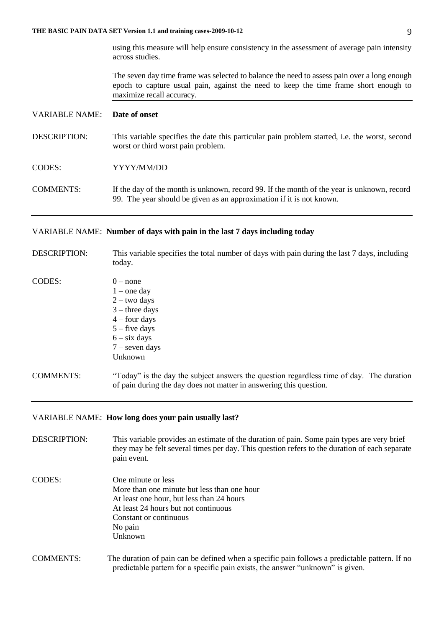using this measure will help ensure consistency in the assessment of average pain intensity across studies.

The seven day time frame was selected to balance the need to assess pain over a long enough epoch to capture usual pain, against the need to keep the time frame short enough to maximize recall accuracy.

#### VARIABLE NAME: **Date of onset**

DESCRIPTION: This variable specifies the date this particular pain problem started, i.e. the worst, second worst or third worst pain problem.

# CODES: YYYY/MM/DD

COMMENTS: If the day of the month is unknown, record 99. If the month of the year is unknown, record 99. The year should be given as an approximation if it is not known.

#### VARIABLE NAME: **Number of days with pain in the last 7 days including today**

DESCRIPTION: This variable specifies the total number of days with pain during the last 7 days, including today.

| <b>CODES:</b> | – none            |
|---------------|-------------------|
|               | $1$ – one day     |
|               | $2 - two days$    |
|               | $3$ – three days  |
|               | $4 - four days$   |
|               | $5 -$ five days   |
|               | $6 - six \, days$ |
|               | $7$ – seven days  |
|               | Unknown           |
|               |                   |
|               |                   |

COMMENTS: "Today" is the day the subject answers the question regardless time of day. The duration of pain during the day does not matter in answering this question.

#### VARIABLE NAME: **How long does your pain usually last?**

- DESCRIPTION: This variable provides an estimate of the duration of pain. Some pain types are very brief they may be felt several times per day. This question refers to the duration of each separate pain event.
- CODES: One minute or less More than one minute but less than one hour At least one hour, but less than 24 hours At least 24 hours but not continuous Constant or continuous No pain Unknown
- COMMENTS: The duration of pain can be defined when a specific pain follows a predictable pattern. If no predictable pattern for a specific pain exists, the answer "unknown" is given.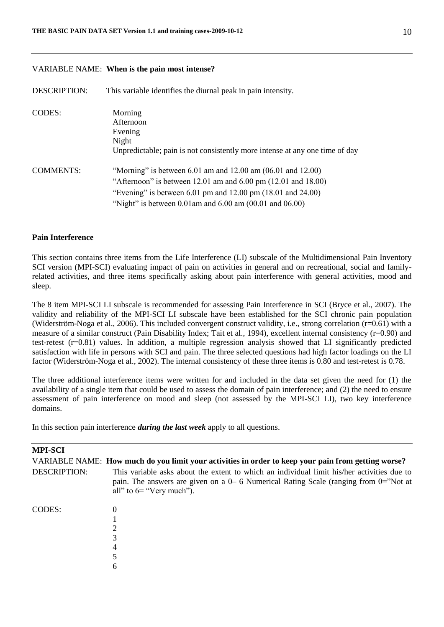### VARIABLE NAME: **When is the pain most intense?**

DESCRIPTION: This variable identifies the diurnal peak in pain intensity. CODES: Morning Afternoon Evening Night Unpredictable; pain is not consistently more intense at any one time of day

| <b>COMMENTS:</b> | "Morning" is between $6.01$ am and $12.00$ am $(06.01$ and $12.00)$               |
|------------------|-----------------------------------------------------------------------------------|
|                  | "Afternoon" is between 12.01 am and $6.00 \text{ pm } (12.01 \text{ and } 18.00)$ |
|                  | "Evening" is between 6.01 pm and 12.00 pm $(18.01 \text{ and } 24.00)$ "          |
|                  | "Night" is between $0.01$ am and $6.00$ am $(00.01$ and $06.00)$ "                |

#### **Pain Interference**

This section contains three items from the Life Interference (LI) subscale of the Multidimensional Pain Inventory SCI version (MPI-SCI) evaluating impact of pain on activities in general and on recreational, social and familyrelated activities, and three items specifically asking about pain interference with general activities, mood and sleep.

The 8 item MPI-SCI LI subscale is recommended for assessing Pain Interference in SCI (Bryce et al., 2007). The validity and reliability of the MPI-SCI LI subscale have been established for the SCI chronic pain population (Widerström-Noga et al., 2006). This included convergent construct validity, i.e., strong correlation  $(r=0.61)$  with a measure of a similar construct (Pain Disability Index; Tait et al., 1994), excellent internal consistency (r=0.90) and test-retest  $(r=0.81)$  values. In addition, a multiple regression analysis showed that LI significantly predicted satisfaction with life in persons with SCI and pain. The three selected questions had high factor loadings on the LI factor (Widerström-Noga et al., 2002). The internal consistency of these three items is 0.80 and test-retest is 0.78.

The three additional interference items were written for and included in the data set given the need for (1) the availability of a single item that could be used to assess the domain of pain interference; and (2) the need to ensure assessment of pain interference on mood and sleep (not assessed by the MPI-SCI LI), two key interference domains.

In this section pain interference *during the last week* apply to all questions.

# **MPI-SCI** VARIABLE NAME: **How much do you limit your activities in order to keep your pain from getting worse?** DESCRIPTION: This variable asks about the extent to which an individual limit his/her activities due to pain. The answers are given on a 0– 6 Numerical Rating Scale (ranging from 0="Not at all" to 6= "Very much"). CODES: 0 1 2 3 4 5 6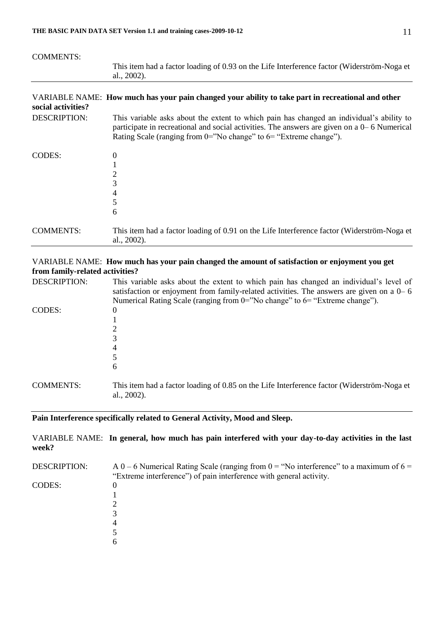| <b>COMMENTS:</b>    |                                                                                                                                                                                                                                                                     |
|---------------------|---------------------------------------------------------------------------------------------------------------------------------------------------------------------------------------------------------------------------------------------------------------------|
|                     | This item had a factor loading of 0.93 on the Life Interference factor (Widerström-Noga et<br>al., 2002).                                                                                                                                                           |
| social activities?  | VARIABLE NAME: How much has your pain changed your ability to take part in recreational and other                                                                                                                                                                   |
| <b>DESCRIPTION:</b> | This variable asks about the extent to which pain has changed an individual's ability to<br>participate in recreational and social activities. The answers are given on a $0-6$ Numerical<br>Rating Scale (ranging from $0=$ "No change" to $6=$ "Extreme change"). |
| CODES:              | 0<br>2<br>3<br>4<br>5<br>6                                                                                                                                                                                                                                          |
| <b>COMMENTS:</b>    | This item had a factor loading of 0.91 on the Life Interference factor (Widerström-Noga et<br>al., 2002).                                                                                                                                                           |

### VARIABLE NAME: **How much has your pain changed the amount of satisfaction or enjoyment you get from family-related activities?**

| <b>DESCRIPTION:</b> | This variable asks about the extent to which pain has changed an individual's level of<br>satisfaction or enjoyment from family-related activities. The answers are given on a $0-6$<br>Numerical Rating Scale (ranging from $0 =$ "No change" to $6 =$ "Extreme change"). |
|---------------------|----------------------------------------------------------------------------------------------------------------------------------------------------------------------------------------------------------------------------------------------------------------------------|
| CODES:              | $\theta$<br>4<br>6                                                                                                                                                                                                                                                         |
| <b>COMMENTS:</b>    | This item had a factor loading of 0.85 on the Life Interference factor (Widerström-Noga et<br>al., $2002$ ).                                                                                                                                                               |

# **Pain Interference specifically related to General Activity, Mood and Sleep.**

VARIABLE NAME: **In general, how much has pain interfered with your day-to-day activities in the last week?**

| <b>DESCRIPTION:</b> | A 0 – 6 Numerical Rating Scale (ranging from $0 =$ "No interference" to a maximum of $6 =$<br>"Extreme interference" of pain interference with general activity. |  |  |
|---------------------|------------------------------------------------------------------------------------------------------------------------------------------------------------------|--|--|
|                     |                                                                                                                                                                  |  |  |
| <b>CODES:</b>       | O                                                                                                                                                                |  |  |
|                     |                                                                                                                                                                  |  |  |
|                     |                                                                                                                                                                  |  |  |
|                     |                                                                                                                                                                  |  |  |
|                     |                                                                                                                                                                  |  |  |
|                     |                                                                                                                                                                  |  |  |
|                     | h                                                                                                                                                                |  |  |
|                     |                                                                                                                                                                  |  |  |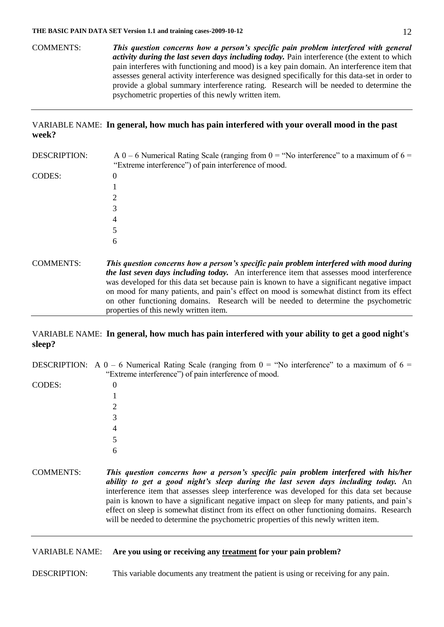COMMENTS: *This question concerns how a person's specific pain problem interfered with general activity during the last seven days including today.* Pain interference (the extent to which pain interferes with functioning and mood) is a key pain domain. An interference item that assesses general activity interference was designed specifically for this data-set in order to provide a global summary interference rating. Research will be needed to determine the psychometric properties of this newly written item.

### VARIABLE NAME: **In general, how much has pain interfered with your overall mood in the past week?**

| <b>DESCRIPTION:</b> | A 0 – 6 Numerical Rating Scale (ranging from 0 = "No interference" to a maximum of $6 =$<br>"Extreme interference") of pain interference of mood.                                                                                                                                                                                                                                                                                                                                                                        |
|---------------------|--------------------------------------------------------------------------------------------------------------------------------------------------------------------------------------------------------------------------------------------------------------------------------------------------------------------------------------------------------------------------------------------------------------------------------------------------------------------------------------------------------------------------|
| CODES:              | 0                                                                                                                                                                                                                                                                                                                                                                                                                                                                                                                        |
|                     |                                                                                                                                                                                                                                                                                                                                                                                                                                                                                                                          |
|                     | 2                                                                                                                                                                                                                                                                                                                                                                                                                                                                                                                        |
|                     | 3                                                                                                                                                                                                                                                                                                                                                                                                                                                                                                                        |
|                     | 4                                                                                                                                                                                                                                                                                                                                                                                                                                                                                                                        |
|                     | 5                                                                                                                                                                                                                                                                                                                                                                                                                                                                                                                        |
|                     | 6                                                                                                                                                                                                                                                                                                                                                                                                                                                                                                                        |
| <b>COMMENTS:</b>    | This question concerns how a person's specific pain problem interfered with mood during<br><i>the last seven days including today.</i> An interference item that assesses mood interference<br>was developed for this data set because pain is known to have a significant negative impact<br>on mood for many patients, and pain's effect on mood is somewhat distinct from its effect<br>on other functioning domains. Research will be needed to determine the psychometric<br>properties of this newly written item. |

# VARIABLE NAME: **In general, how much has pain interfered with your ability to get a good night's sleep?**

DESCRIPTION: A  $0 - 6$  Numerical Rating Scale (ranging from  $0 =$  "No interference" to a maximum of  $6 =$ "Extreme interference") of pain interference of mood.

CODES: 0

COMMENTS: *This question concerns how a person's specific pain problem interfered with his/her ability to get a good night's sleep during the last seven days including today.* An interference item that assesses sleep interference was developed for this data set because pain is known to have a significant negative impact on sleep for many patients, and pain's effect on sleep is somewhat distinct from its effect on other functioning domains. Research will be needed to determine the psychometric properties of this newly written item.

### VARIABLE NAME: **Are you using or receiving any treatment for your pain problem?**

DESCRIPTION: This variable documents any treatment the patient is using or receiving for any pain.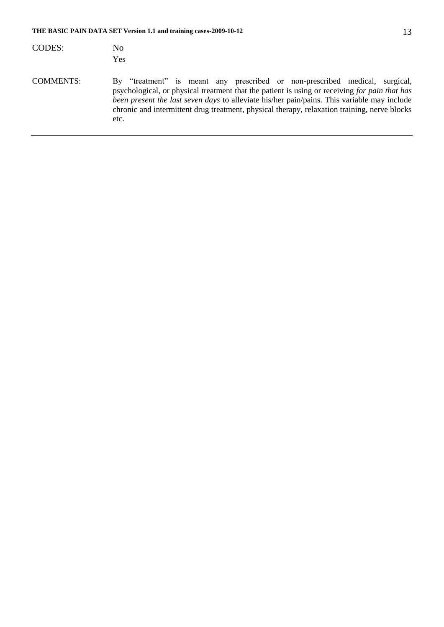| <b>CODES:</b>    | No<br>Yes                                                                                                                                                                                                                                                                                                                                                                           |
|------------------|-------------------------------------------------------------------------------------------------------------------------------------------------------------------------------------------------------------------------------------------------------------------------------------------------------------------------------------------------------------------------------------|
| <b>COMMENTS:</b> | By "treatment" is meant any prescribed or non-prescribed medical, surgical,<br>psychological, or physical treatment that the patient is using or receiving for pain that has<br>been present the last seven days to alleviate his/her pain/pains. This variable may include<br>chronic and intermittent drug treatment, physical therapy, relaxation training, nerve blocks<br>etc. |
|                  |                                                                                                                                                                                                                                                                                                                                                                                     |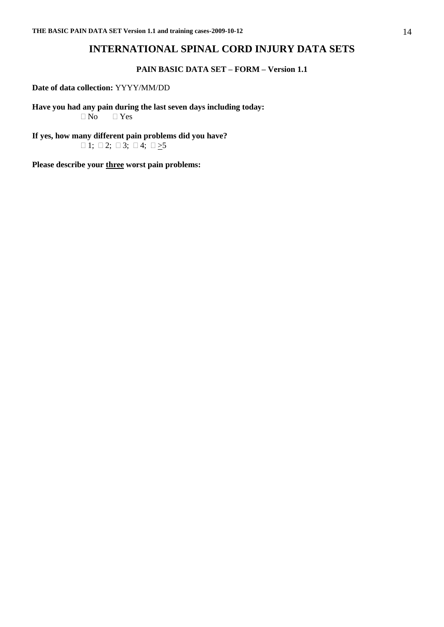# **INTERNATIONAL SPINAL CORD INJURY DATA SETS**

### **PAIN BASIC DATA SET – FORM – Version 1.1**

# **Date of data collection:** YYYY/MM/DD

**Have you had any pain during the last seven days including today:**  $\Box$  No  $\Box$  Yes

**If yes, how many different pain problems did you have?**   $\Box$  1;  $\Box$  2;  $\Box$  3;  $\Box$  4;  $\Box \geq 5$ 

**Please describe your three worst pain problems:**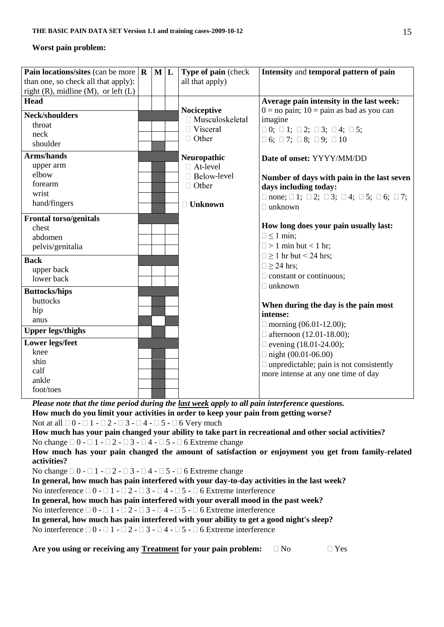# **Worst pain problem:**

| <b>Pain locations/sites</b> (can be more $\mathbf{R} \mathbf{M} \mathbf{L}$                                                                                                             |                                                                                   |  |  | Type of pain (check    | Intensity and temporal pattern of pain                                                                |  |  |
|-----------------------------------------------------------------------------------------------------------------------------------------------------------------------------------------|-----------------------------------------------------------------------------------|--|--|------------------------|-------------------------------------------------------------------------------------------------------|--|--|
| than one, so check all that apply):                                                                                                                                                     |                                                                                   |  |  | all that apply)        |                                                                                                       |  |  |
| right $(R)$ , midline $(M)$ , or left $(L)$                                                                                                                                             |                                                                                   |  |  |                        |                                                                                                       |  |  |
| <b>Head</b>                                                                                                                                                                             |                                                                                   |  |  |                        | Average pain intensity in the last week:                                                              |  |  |
|                                                                                                                                                                                         |                                                                                   |  |  | Nociceptive            | $0 =$ no pain; $10 =$ pain as bad as you can                                                          |  |  |
| <b>Neck/shoulders</b>                                                                                                                                                                   |                                                                                   |  |  | $\Box$ Musculoskeletal | imagine                                                                                               |  |  |
| throat                                                                                                                                                                                  |                                                                                   |  |  | □ Visceral             | $\Box$ 0; $\Box$ 1; $\Box$ 2; $\Box$ 3; $\Box$ 4; $\Box$ 5;                                           |  |  |
| neck                                                                                                                                                                                    |                                                                                   |  |  | $\Box$ Other           | $\Box$ 6; $\Box$ 7; $\Box$ 8; $\Box$ 9; $\Box$ 10                                                     |  |  |
| shoulder                                                                                                                                                                                |                                                                                   |  |  |                        |                                                                                                       |  |  |
| <b>Arms/hands</b>                                                                                                                                                                       |                                                                                   |  |  | Neuropathic            | Date of onset: YYYY/MM/DD                                                                             |  |  |
| upper arm                                                                                                                                                                               |                                                                                   |  |  | □ At-level             |                                                                                                       |  |  |
| elbow                                                                                                                                                                                   |                                                                                   |  |  | □ Below-level          | Number of days with pain in the last seven                                                            |  |  |
| forearm                                                                                                                                                                                 |                                                                                   |  |  | $\Box$ Other           | days including today:                                                                                 |  |  |
| wrist                                                                                                                                                                                   |                                                                                   |  |  |                        | $\Box$ none; $\Box$ 1; $\Box$ 2; $\Box$ 3; $\Box$ 4; $\Box$ 5; $\Box$ 6; $\Box$ 7;                    |  |  |
| hand/fingers                                                                                                                                                                            |                                                                                   |  |  | □ Unknown              | $\Box$ unknown                                                                                        |  |  |
|                                                                                                                                                                                         |                                                                                   |  |  |                        |                                                                                                       |  |  |
| <b>Frontal torso/genitals</b>                                                                                                                                                           |                                                                                   |  |  |                        |                                                                                                       |  |  |
| chest                                                                                                                                                                                   |                                                                                   |  |  |                        | How long does your pain usually last:                                                                 |  |  |
| abdomen                                                                                                                                                                                 |                                                                                   |  |  |                        | $\Box \leq 1$ min;                                                                                    |  |  |
| pelvis/genitalia                                                                                                                                                                        |                                                                                   |  |  |                        | $\Box$ > 1 min but < 1 hr;                                                                            |  |  |
| <b>Back</b>                                                                                                                                                                             |                                                                                   |  |  |                        | $\Box \ge 1$ hr but < 24 hrs;                                                                         |  |  |
| upper back                                                                                                                                                                              |                                                                                   |  |  |                        | $\Box \geq 24$ hrs;                                                                                   |  |  |
| lower back                                                                                                                                                                              |                                                                                   |  |  |                        | $\Box$ constant or continuous;                                                                        |  |  |
|                                                                                                                                                                                         |                                                                                   |  |  |                        | $\Box$ unknown                                                                                        |  |  |
| <b>Buttocks/hips</b>                                                                                                                                                                    |                                                                                   |  |  |                        |                                                                                                       |  |  |
| buttocks                                                                                                                                                                                |                                                                                   |  |  |                        | When during the day is the pain most                                                                  |  |  |
| hip                                                                                                                                                                                     |                                                                                   |  |  |                        | intense:                                                                                              |  |  |
| anus                                                                                                                                                                                    |                                                                                   |  |  |                        | $\Box$ morning (06.01-12.00);                                                                         |  |  |
| <b>Upper legs/thighs</b>                                                                                                                                                                |                                                                                   |  |  |                        | $\Box$ afternoon (12.01-18.00);                                                                       |  |  |
| <b>Lower legs/feet</b>                                                                                                                                                                  |                                                                                   |  |  |                        | $\Box$ evening (18.01-24.00);                                                                         |  |  |
| knee                                                                                                                                                                                    |                                                                                   |  |  |                        | $\Box$ night (00.01-06.00)                                                                            |  |  |
| shin                                                                                                                                                                                    |                                                                                   |  |  |                        | $\Box$ unpredictable; pain is not consistently                                                        |  |  |
| calf                                                                                                                                                                                    |                                                                                   |  |  |                        | more intense at any one time of day                                                                   |  |  |
| ankle                                                                                                                                                                                   |                                                                                   |  |  |                        |                                                                                                       |  |  |
| foot/toes                                                                                                                                                                               |                                                                                   |  |  |                        |                                                                                                       |  |  |
|                                                                                                                                                                                         |                                                                                   |  |  |                        |                                                                                                       |  |  |
| Please note that the time period during the last week apply to all pain interference questions.<br>How much do you limit your activities in order to keep your pain from getting worse? |                                                                                   |  |  |                        |                                                                                                       |  |  |
|                                                                                                                                                                                         |                                                                                   |  |  |                        |                                                                                                       |  |  |
| Not at all $\Box$ 0 - $\Box$ 1 - $\Box$ 2 - $\Box$ 3 - $\Box$ 4 - $\Box$ 5 - $\Box$ 6 Very much                                                                                         |                                                                                   |  |  |                        |                                                                                                       |  |  |
|                                                                                                                                                                                         |                                                                                   |  |  |                        | How much has your pain changed your ability to take part in recreational and other social activities? |  |  |
| No change $\Box$ 0 - $\Box$ 1 - $\Box$ 2 - $\Box$ 3 - $\Box$ 4 - $\Box$ 5 - $\Box$ 6 Extreme change                                                                                     |                                                                                   |  |  |                        |                                                                                                       |  |  |
|                                                                                                                                                                                         |                                                                                   |  |  |                        | How much has your pain changed the amount of satisfaction or enjoyment you get from family-related    |  |  |
| activities?                                                                                                                                                                             |                                                                                   |  |  |                        |                                                                                                       |  |  |
| No change $\Box 0 - \Box 1 - \Box 2 - \Box 3 - \Box 4 - \Box 5 - \Box 6$ Extreme change                                                                                                 |                                                                                   |  |  |                        |                                                                                                       |  |  |
| In general, how much has pain interfered with your day-to-day activities in the last week?                                                                                              |                                                                                   |  |  |                        |                                                                                                       |  |  |
| No interference $\Box 0 - \Box 1 - \Box 2 - \Box 3 - \Box 4 - \Box 5 - \Box 6$ Extreme interference                                                                                     |                                                                                   |  |  |                        |                                                                                                       |  |  |
|                                                                                                                                                                                         | In general, how much has pain interfered with your overall mood in the past week? |  |  |                        |                                                                                                       |  |  |
| No interference $\Box 0 - \Box 1 - \Box 2 - \Box 3 - \Box 4 - \Box 5 - \Box 6$ Extreme interference                                                                                     |                                                                                   |  |  |                        |                                                                                                       |  |  |
| In general, how much has pain interfered with your ability to get a good night's sleep?                                                                                                 |                                                                                   |  |  |                        |                                                                                                       |  |  |
| No interference $\Box 0 - \Box 1 - \Box 2 - \Box 3 - \Box 4 - \Box 5 - \Box 6$ Extreme interference                                                                                     |                                                                                   |  |  |                        |                                                                                                       |  |  |
|                                                                                                                                                                                         |                                                                                   |  |  |                        |                                                                                                       |  |  |
| Are you using or receiving any Treatment for your pain problem:                                                                                                                         |                                                                                   |  |  |                        | $\Box$ No<br>$\Box$ Yes                                                                               |  |  |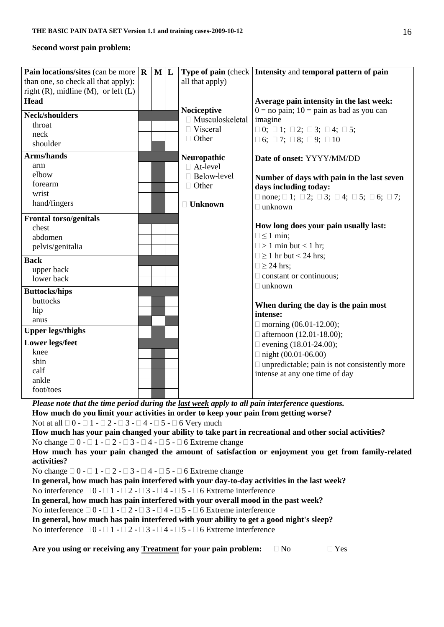# **Second worst pain problem:**

| Pain locations/sites (can be more $\mathbf R$                                                       |                                                                                                     | M L |  |                   | Type of pain (check   Intensity and temporal pattern of pain                                          |  |  |
|-----------------------------------------------------------------------------------------------------|-----------------------------------------------------------------------------------------------------|-----|--|-------------------|-------------------------------------------------------------------------------------------------------|--|--|
| than one, so check all that apply):                                                                 |                                                                                                     |     |  | all that apply)   |                                                                                                       |  |  |
| right $(R)$ , midline $(M)$ , or left $(L)$                                                         |                                                                                                     |     |  |                   |                                                                                                       |  |  |
| <b>Head</b>                                                                                         |                                                                                                     |     |  |                   | Average pain intensity in the last week:                                                              |  |  |
|                                                                                                     |                                                                                                     |     |  | Nociceptive       | $0 =$ no pain; $10 =$ pain as bad as you can                                                          |  |  |
| <b>Neck/shoulders</b>                                                                               |                                                                                                     |     |  | □ Musculoskeletal | imagine                                                                                               |  |  |
| throat                                                                                              |                                                                                                     |     |  | $\Box$ Visceral   | $\Box$ 0; $\Box$ 1; $\Box$ 2; $\Box$ 3; $\Box$ 4; $\Box$ 5;                                           |  |  |
| neck                                                                                                |                                                                                                     |     |  | $\Box$ Other      | $\Box$ 6; $\Box$ 7; $\Box$ 8; $\Box$ 9; $\Box$ 10                                                     |  |  |
| shoulder                                                                                            |                                                                                                     |     |  |                   |                                                                                                       |  |  |
| Arms/hands                                                                                          |                                                                                                     |     |  | Neuropathic       | Date of onset: YYYY/MM/DD                                                                             |  |  |
| arm                                                                                                 |                                                                                                     |     |  | □ At-level        |                                                                                                       |  |  |
| elbow                                                                                               |                                                                                                     |     |  | □ Below-level     | Number of days with pain in the last seven                                                            |  |  |
| forearm                                                                                             |                                                                                                     |     |  | $\Box$ Other      | days including today:                                                                                 |  |  |
| wrist                                                                                               |                                                                                                     |     |  |                   | $\Box$ none; $\Box$ 1; $\Box$ 2; $\Box$ 3; $\Box$ 4; $\Box$ 5; $\Box$ 6; $\Box$ 7;                    |  |  |
| hand/fingers                                                                                        |                                                                                                     |     |  | $\Box$ Unknown    | $\Box$ unknown                                                                                        |  |  |
| <b>Frontal torso/genitals</b>                                                                       |                                                                                                     |     |  |                   |                                                                                                       |  |  |
| chest                                                                                               |                                                                                                     |     |  |                   | How long does your pain usually last:                                                                 |  |  |
| abdomen                                                                                             |                                                                                                     |     |  |                   | $\Box \leq 1$ min;                                                                                    |  |  |
| pelvis/genitalia                                                                                    |                                                                                                     |     |  |                   | $\Box$ > 1 min but < 1 hr;                                                                            |  |  |
|                                                                                                     |                                                                                                     |     |  |                   | $\Box \ge 1$ hr but < 24 hrs;                                                                         |  |  |
| <b>Back</b>                                                                                         |                                                                                                     |     |  |                   | $\Box \geq 24$ hrs;                                                                                   |  |  |
| upper back                                                                                          |                                                                                                     |     |  |                   | $\Box$ constant or continuous;                                                                        |  |  |
| lower back                                                                                          |                                                                                                     |     |  |                   | $\Box$ unknown                                                                                        |  |  |
| <b>Buttocks/hips</b>                                                                                |                                                                                                     |     |  |                   |                                                                                                       |  |  |
| buttocks                                                                                            |                                                                                                     |     |  |                   | When during the day is the pain most                                                                  |  |  |
| hip                                                                                                 |                                                                                                     |     |  |                   | intense:                                                                                              |  |  |
| anus                                                                                                |                                                                                                     |     |  |                   |                                                                                                       |  |  |
| <b>Upper legs/thighs</b>                                                                            |                                                                                                     |     |  |                   | $\Box$ morning (06.01-12.00);                                                                         |  |  |
| <b>Lower legs/feet</b>                                                                              |                                                                                                     |     |  |                   | $\Box$ afternoon (12.01-18.00);                                                                       |  |  |
| knee                                                                                                |                                                                                                     |     |  |                   | $\Box$ evening (18.01-24.00);                                                                         |  |  |
| shin                                                                                                |                                                                                                     |     |  |                   | $\Box$ night (00.01-06.00)                                                                            |  |  |
| calf                                                                                                |                                                                                                     |     |  |                   | $\Box$ unpredictable; pain is not consistently more                                                   |  |  |
| ankle                                                                                               |                                                                                                     |     |  |                   | intense at any one time of day                                                                        |  |  |
| foot/toes                                                                                           |                                                                                                     |     |  |                   |                                                                                                       |  |  |
|                                                                                                     |                                                                                                     |     |  |                   |                                                                                                       |  |  |
| Please note that the time period during the last week apply to all pain interference questions.     |                                                                                                     |     |  |                   |                                                                                                       |  |  |
| How much do you limit your activities in order to keep your pain from getting worse?                |                                                                                                     |     |  |                   |                                                                                                       |  |  |
| Not at all $\Box$ 0 - $\Box$ 1 - $\Box$ 2 - $\Box$ 3 - $\Box$ 4 - $\Box$ 5 - $\Box$ 6 Very much     |                                                                                                     |     |  |                   |                                                                                                       |  |  |
|                                                                                                     |                                                                                                     |     |  |                   | How much has your pain changed your ability to take part in recreational and other social activities? |  |  |
| No change $\Box$ 0 - $\Box$ 1 - $\Box$ 2 - $\Box$ 3 - $\Box$ 4 - $\Box$ 5 - $\Box$ 6 Extreme change |                                                                                                     |     |  |                   |                                                                                                       |  |  |
|                                                                                                     |                                                                                                     |     |  |                   | How much has your pain changed the amount of satisfaction or enjoyment you get from family-related    |  |  |
| activities?                                                                                         |                                                                                                     |     |  |                   |                                                                                                       |  |  |
| No change $\Box 0 - \Box 1 - \Box 2 - \Box 3 - \Box 4 - \Box 5 - \Box 6$ Extreme change             |                                                                                                     |     |  |                   |                                                                                                       |  |  |
| In general, how much has pain interfered with your day-to-day activities in the last week?          |                                                                                                     |     |  |                   |                                                                                                       |  |  |
|                                                                                                     | No interference $\Box 0 - \Box 1 - \Box 2 - \Box 3 - \Box 4 - \Box 5 - \Box 6$ Extreme interference |     |  |                   |                                                                                                       |  |  |
| In general, how much has pain interfered with your overall mood in the past week?                   |                                                                                                     |     |  |                   |                                                                                                       |  |  |
| No interference $\Box 0 - \Box 1 - \Box 2 - \Box 3 - \Box 4 - \Box 5 - \Box 6$ Extreme interference |                                                                                                     |     |  |                   |                                                                                                       |  |  |
| In general, how much has pain interfered with your ability to get a good night's sleep?             |                                                                                                     |     |  |                   |                                                                                                       |  |  |
| No interference $\Box 0 - \Box 1 - \Box 2 - \Box 3 - \Box 4 - \Box 5 - \Box 6$ Extreme interference |                                                                                                     |     |  |                   |                                                                                                       |  |  |
|                                                                                                     |                                                                                                     |     |  |                   |                                                                                                       |  |  |
| Are you using or receiving any Treatment for your pain problem:                                     |                                                                                                     |     |  |                   | $\Box$ Yes<br>$\Box$ No                                                                               |  |  |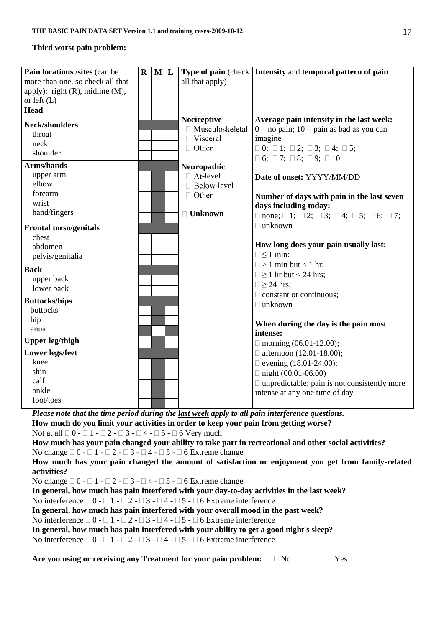### **Third worst pain problem:**

| Pain locations /sites (can be                                                                   | $\mathbf R$ | ML |                                  | Type of pain (check   Intensity and temporal pattern of pain                              |
|-------------------------------------------------------------------------------------------------|-------------|----|----------------------------------|-------------------------------------------------------------------------------------------|
| more than one, so check all that                                                                |             |    | all that apply)                  |                                                                                           |
| apply): right $(R)$ , midline $(M)$ ,                                                           |             |    |                                  |                                                                                           |
| or left $(L)$                                                                                   |             |    |                                  |                                                                                           |
| <b>Head</b>                                                                                     |             |    |                                  |                                                                                           |
| <b>Neck/shoulders</b>                                                                           |             |    | Nociceptive<br>□ Musculoskeletal | Average pain intensity in the last week:<br>$0 = no$ pain; $10 = p$ ain as bad as you can |
| throat                                                                                          |             |    | $\Box$ Visceral                  | imagine                                                                                   |
| neck                                                                                            |             |    | $\Box$ Other                     | $\Box$ 0; $\Box$ 1; $\Box$ 2; $\Box$ 3; $\Box$ 4; $\Box$ 5;                               |
| shoulder                                                                                        |             |    |                                  | $\Box$ 6; $\Box$ 7; $\Box$ 8; $\Box$ 9; $\Box$ 10                                         |
| <b>Arms/hands</b>                                                                               |             |    | Neuropathic                      |                                                                                           |
| upper arm                                                                                       |             |    | □ At-level                       | Date of onset: YYYY/MM/DD                                                                 |
| elbow                                                                                           |             |    | □ Below-level                    |                                                                                           |
| forearm                                                                                         |             |    | $\Box$ Other                     | Number of days with pain in the last seven                                                |
| wrist                                                                                           |             |    |                                  | days including today:                                                                     |
| hand/fingers                                                                                    |             |    | $\Box$ Unknown                   | $\Box$ none; $\Box$ 1; $\Box$ 2; $\Box$ 3; $\Box$ 4; $\Box$ 5; $\Box$ 6; $\Box$ 7;        |
| <b>Frontal torso/genitals</b>                                                                   |             |    |                                  | $\Box$ unknown                                                                            |
| chest                                                                                           |             |    |                                  |                                                                                           |
| abdomen                                                                                         |             |    |                                  | How long does your pain usually last:                                                     |
| pelvis/genitalia                                                                                |             |    |                                  | $\Box \leq 1$ min;                                                                        |
|                                                                                                 |             |    |                                  | $\Box$ > 1 min but < 1 hr;                                                                |
| <b>Back</b>                                                                                     |             |    |                                  | $\Box \ge 1$ hr but < 24 hrs;                                                             |
| upper back                                                                                      |             |    |                                  | $\Box \geq 24$ hrs;                                                                       |
| lower back                                                                                      |             |    |                                  | $\Box$ constant or continuous;                                                            |
| <b>Buttocks/hips</b>                                                                            |             |    |                                  | $\Box$ unknown                                                                            |
| buttocks                                                                                        |             |    |                                  |                                                                                           |
| hip                                                                                             |             |    |                                  | When during the day is the pain most                                                      |
| anus                                                                                            |             |    |                                  | intense:                                                                                  |
| <b>Upper leg/thigh</b>                                                                          |             |    |                                  | $\Box$ morning (06.01-12.00);                                                             |
| <b>Lower legs/feet</b>                                                                          |             |    |                                  | $\Box$ afternoon (12.01-18.00);                                                           |
| knee                                                                                            |             |    |                                  | $\Box$ evening (18.01-24.00);                                                             |
| shin                                                                                            |             |    |                                  | $\Box$ night (00.01-06.00)                                                                |
| calf                                                                                            |             |    |                                  | $\Box$ unpredictable; pain is not consistently more                                       |
| ankle                                                                                           |             |    |                                  | intense at any one time of day                                                            |
| foot/toes                                                                                       |             |    |                                  |                                                                                           |
| Please note that the time period during the last week apply to all pain interference questions. |             |    |                                  |                                                                                           |

**How much do you limit your activities in order to keep your pain from getting worse?**

Not at all  $\Box$  0 -  $\Box$  1 -  $\Box$  2 -  $\Box$  3 -  $\Box$  4 -  $\Box$  5 -  $\Box$  6 Very much

**How much has your pain changed your ability to take part in recreational and other social activities?** No change  $\Box 0 - \Box 1 - \Box 2 - \Box 3 - \Box 4 - \Box 5 - \Box 6$  Extreme change

**How much has your pain changed the amount of satisfaction or enjoyment you get from family-related activities?**

No change  $\Box 0 - \Box 1 - \Box 2 - \Box 3 - \Box 4 - \Box 5 - \Box 6$  Extreme change

**In general, how much has pain interfered with your day-to-day activities in the last week?**

No interference  $\Box 0 - \Box 1 - \Box 2 - \Box 3 - \Box 4 - \Box 5 - \Box 6$  Extreme interference

**In general, how much has pain interfered with your overall mood in the past week?**

No interference  $\Box 0 - \Box 1 - \Box 2 - \Box 3 - \Box 4 - \Box 5 - \Box 6$  Extreme interference

**In general, how much has pain interfered with your ability to get a good night's sleep?**

No interference  $\Box 0 - \Box 1 - \Box 2 - \Box 3 - \Box 4 - \Box 5 - \Box 6$  Extreme interference

Are you using or receiving any Treatment for your pain problem:  $\Box$  No  $\Box$  Yes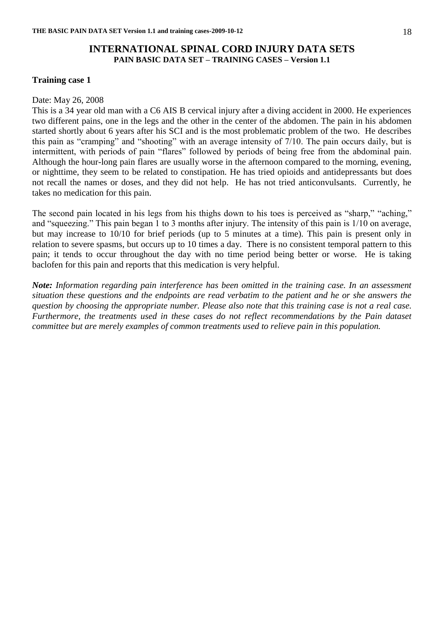# **INTERNATIONAL SPINAL CORD INJURY DATA SETS PAIN BASIC DATA SET – TRAINING CASES – Version 1.1**

### **Training case 1**

#### Date: May 26, 2008

This is a 34 year old man with a C6 AIS B cervical injury after a diving accident in 2000. He experiences two different pains, one in the legs and the other in the center of the abdomen. The pain in his abdomen started shortly about 6 years after his SCI and is the most problematic problem of the two. He describes this pain as "cramping" and "shooting" with an average intensity of 7/10. The pain occurs daily, but is intermittent, with periods of pain "flares" followed by periods of being free from the abdominal pain. Although the hour-long pain flares are usually worse in the afternoon compared to the morning, evening, or nighttime, they seem to be related to constipation. He has tried opioids and antidepressants but does not recall the names or doses, and they did not help. He has not tried anticonvulsants. Currently, he takes no medication for this pain.

The second pain located in his legs from his thighs down to his toes is perceived as "sharp," "aching," and "squeezing." This pain began 1 to 3 months after injury. The intensity of this pain is 1/10 on average, but may increase to 10/10 for brief periods (up to 5 minutes at a time). This pain is present only in relation to severe spasms, but occurs up to 10 times a day. There is no consistent temporal pattern to this pain; it tends to occur throughout the day with no time period being better or worse. He is taking baclofen for this pain and reports that this medication is very helpful.

*Note: Information regarding pain interference has been omitted in the training case. In an assessment situation these questions and the endpoints are read verbatim to the patient and he or she answers the question by choosing the appropriate number. Please also note that this training case is not a real case. Furthermore, the treatments used in these cases do not reflect recommendations by the Pain dataset committee but are merely examples of common treatments used to relieve pain in this population.*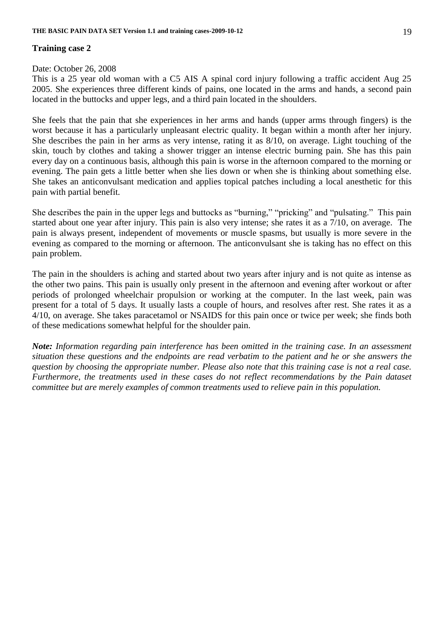# **Training case 2**

### Date: October 26, 2008

This is a 25 year old woman with a C5 AIS A spinal cord injury following a traffic accident Aug 25 2005. She experiences three different kinds of pains, one located in the arms and hands, a second pain located in the buttocks and upper legs, and a third pain located in the shoulders.

She feels that the pain that she experiences in her arms and hands (upper arms through fingers) is the worst because it has a particularly unpleasant electric quality. It began within a month after her injury. She describes the pain in her arms as very intense, rating it as 8/10, on average. Light touching of the skin, touch by clothes and taking a shower trigger an intense electric burning pain. She has this pain every day on a continuous basis, although this pain is worse in the afternoon compared to the morning or evening. The pain gets a little better when she lies down or when she is thinking about something else. She takes an anticonvulsant medication and applies topical patches including a local anesthetic for this pain with partial benefit.

She describes the pain in the upper legs and buttocks as "burning," "pricking" and "pulsating." This pain started about one year after injury. This pain is also very intense; she rates it as a 7/10, on average. The pain is always present, independent of movements or muscle spasms, but usually is more severe in the evening as compared to the morning or afternoon. The anticonvulsant she is taking has no effect on this pain problem.

The pain in the shoulders is aching and started about two years after injury and is not quite as intense as the other two pains. This pain is usually only present in the afternoon and evening after workout or after periods of prolonged wheelchair propulsion or working at the computer. In the last week, pain was present for a total of 5 days. It usually lasts a couple of hours, and resolves after rest. She rates it as a 4/10, on average. She takes paracetamol or NSAIDS for this pain once or twice per week; she finds both of these medications somewhat helpful for the shoulder pain.

*Note: Information regarding pain interference has been omitted in the training case. In an assessment situation these questions and the endpoints are read verbatim to the patient and he or she answers the question by choosing the appropriate number. Please also note that this training case is not a real case. Furthermore, the treatments used in these cases do not reflect recommendations by the Pain dataset committee but are merely examples of common treatments used to relieve pain in this population.*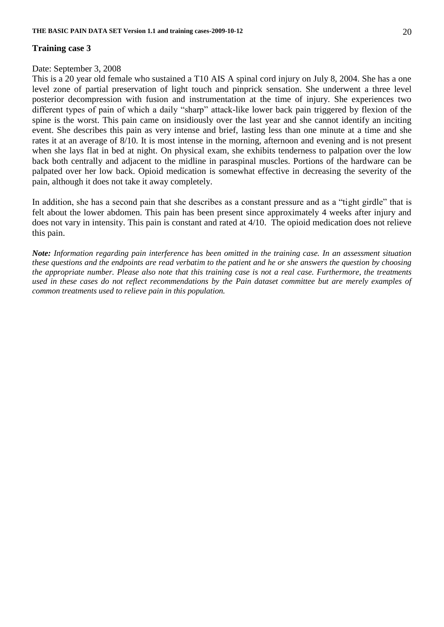# **Training case 3**

### Date: September 3, 2008

This is a 20 year old female who sustained a T10 AIS A spinal cord injury on July 8, 2004. She has a one level zone of partial preservation of light touch and pinprick sensation. She underwent a three level posterior decompression with fusion and instrumentation at the time of injury. She experiences two different types of pain of which a daily "sharp" attack-like lower back pain triggered by flexion of the spine is the worst. This pain came on insidiously over the last year and she cannot identify an inciting event. She describes this pain as very intense and brief, lasting less than one minute at a time and she rates it at an average of 8/10. It is most intense in the morning, afternoon and evening and is not present when she lays flat in bed at night. On physical exam, she exhibits tenderness to palpation over the low back both centrally and adjacent to the midline in paraspinal muscles. Portions of the hardware can be palpated over her low back. Opioid medication is somewhat effective in decreasing the severity of the pain, although it does not take it away completely.

In addition, she has a second pain that she describes as a constant pressure and as a "tight girdle" that is felt about the lower abdomen. This pain has been present since approximately 4 weeks after injury and does not vary in intensity. This pain is constant and rated at 4/10. The opioid medication does not relieve this pain.

*Note: Information regarding pain interference has been omitted in the training case. In an assessment situation these questions and the endpoints are read verbatim to the patient and he or she answers the question by choosing the appropriate number. Please also note that this training case is not a real case. Furthermore, the treatments used in these cases do not reflect recommendations by the Pain dataset committee but are merely examples of common treatments used to relieve pain in this population.*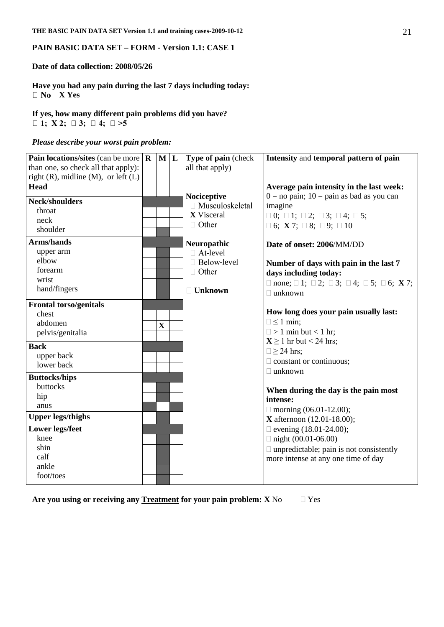### **PAIN BASIC DATA SET – FORM - Version 1.1: CASE 1**

#### **Date of data collection: 2008/05/26**

**Have you had any pain during the last 7 days including today: X Yes**

**If yes, how many different pain problems did you have?**  $\Box$  **1**;  $X$  **2**;  $\Box$  **3**;  $\Box$  **4**;  $\Box$  >**5** 

#### *Please describe your worst pain problem:*

| Pain locations/sites (can be more $\mathbf R$ | M L         | Type of pain (check    | Intensity and temporal pattern of pain                                               |
|-----------------------------------------------|-------------|------------------------|--------------------------------------------------------------------------------------|
| than one, so check all that apply):           |             | all that apply)        |                                                                                      |
| right $(R)$ , midline $(M)$ , or left $(L)$   |             |                        |                                                                                      |
| Head                                          |             |                        | Average pain intensity in the last week:                                             |
| <b>Neck/shoulders</b>                         |             | Nociceptive            | $0 =$ no pain; $10 =$ pain as bad as you can                                         |
| throat                                        |             | $\Box$ Musculoskeletal | imagine                                                                              |
| neck                                          |             | <b>X</b> Visceral      | $\Box$ 0; $\Box$ 1; $\Box$ 2; $\Box$ 3; $\Box$ 4; $\Box$ 5;                          |
| shoulder                                      |             | $\Box$ Other           | $\Box$ 6; X 7; $\Box$ 8; $\Box$ 9; $\Box$ 10                                         |
|                                               |             |                        |                                                                                      |
| <b>Arms/hands</b>                             |             | Neuropathic            | Date of onset: 2006/MM/DD                                                            |
| upper arm                                     |             | $\Box$ At-level        |                                                                                      |
| elbow                                         |             | $\Box$ Below-level     | Number of days with pain in the last 7                                               |
| forearm                                       |             | $\Box$ Other           | days including today:                                                                |
| wrist                                         |             |                        | $\Box$ none; $\Box$ 1; $\Box$ 2; $\Box$ 3; $\Box$ 4; $\Box$ 5; $\Box$ 6; <b>X</b> 7; |
| hand/fingers                                  |             | $\Box$ Unknown         | $\Box$ unknown                                                                       |
| <b>Frontal torso/genitals</b>                 |             |                        |                                                                                      |
| chest                                         |             |                        | How long does your pain usually last:                                                |
| abdomen                                       |             |                        | $\Box \leq 1$ min;                                                                   |
| pelvis/genitalia                              | $\mathbf X$ |                        | $\Box$ > 1 min but < 1 hr;                                                           |
|                                               |             |                        | $X \ge 1$ hr but < 24 hrs;                                                           |
| <b>Back</b>                                   |             |                        | $\Box \geq 24$ hrs;                                                                  |
| upper back                                    |             |                        | $\Box$ constant or continuous;                                                       |
| lower back                                    |             |                        | $\Box$ unknown                                                                       |
| <b>Buttocks/hips</b>                          |             |                        |                                                                                      |
| buttocks                                      |             |                        | When during the day is the pain most                                                 |
| hip                                           |             |                        | intense:                                                                             |
| anus                                          |             |                        | $\Box$ morning (06.01-12.00);                                                        |
| <b>Upper legs/thighs</b>                      |             |                        | <b>X</b> afternoon (12.01-18.00);                                                    |
|                                               |             |                        |                                                                                      |
| <b>Lower legs/feet</b><br>knee                |             |                        | $\Box$ evening (18.01-24.00);                                                        |
| shin                                          |             |                        | $\Box$ night (00.01-06.00)                                                           |
| calf                                          |             |                        | $\Box$ unpredictable; pain is not consistently                                       |
| ankle                                         |             |                        | more intense at any one time of day                                                  |
|                                               |             |                        |                                                                                      |
| foot/toes                                     |             |                        |                                                                                      |

**Are you using or receiving any Treatment for your pain problem: X** No Yes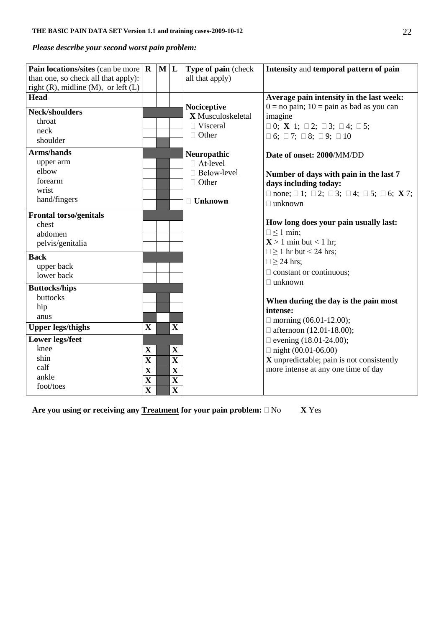# *Please describe your second worst pain problem:*

|                                     |                                                                                                                                                                                  |             | Type of pain (check                                                                    | Intensity and temporal pattern of pain                                                                                                 |
|-------------------------------------|----------------------------------------------------------------------------------------------------------------------------------------------------------------------------------|-------------|----------------------------------------------------------------------------------------|----------------------------------------------------------------------------------------------------------------------------------------|
|                                     |                                                                                                                                                                                  |             | all that apply)                                                                        |                                                                                                                                        |
|                                     |                                                                                                                                                                                  |             |                                                                                        |                                                                                                                                        |
|                                     |                                                                                                                                                                                  |             |                                                                                        | Average pain intensity in the last week:                                                                                               |
|                                     |                                                                                                                                                                                  |             |                                                                                        | $0 =$ no pain; $10 =$ pain as bad as you can                                                                                           |
|                                     |                                                                                                                                                                                  |             |                                                                                        | imagine                                                                                                                                |
|                                     |                                                                                                                                                                                  |             |                                                                                        | $\Box$ 0; <b>X</b> 1; $\Box$ 2; $\Box$ 3; $\Box$ 4; $\Box$ 5;                                                                          |
|                                     |                                                                                                                                                                                  |             |                                                                                        | $\Box$ 6; $\Box$ 7; $\Box$ 8; $\Box$ 9; $\Box$ 10                                                                                      |
|                                     |                                                                                                                                                                                  |             |                                                                                        | Date of onset: 2000/MM/DD                                                                                                              |
|                                     |                                                                                                                                                                                  |             |                                                                                        |                                                                                                                                        |
|                                     |                                                                                                                                                                                  |             |                                                                                        | Number of days with pain in the last 7                                                                                                 |
|                                     |                                                                                                                                                                                  |             |                                                                                        | days including today:                                                                                                                  |
|                                     |                                                                                                                                                                                  |             |                                                                                        | $\Box$ none; $\Box$ 1; $\Box$ 2; $\Box$ 3; $\Box$ 4; $\Box$ 5; $\Box$ 6; <b>X</b> 7;                                                   |
|                                     |                                                                                                                                                                                  |             | $\Box$ Unknown                                                                         | $\Box$ unknown                                                                                                                         |
|                                     |                                                                                                                                                                                  |             |                                                                                        |                                                                                                                                        |
|                                     |                                                                                                                                                                                  |             |                                                                                        | How long does your pain usually last:                                                                                                  |
|                                     |                                                                                                                                                                                  |             |                                                                                        | $\Box \leq 1$ min;                                                                                                                     |
|                                     |                                                                                                                                                                                  |             |                                                                                        | $X > 1$ min but < 1 hr;                                                                                                                |
|                                     |                                                                                                                                                                                  |             |                                                                                        | $\Box \ge 1$ hr but < 24 hrs;                                                                                                          |
|                                     |                                                                                                                                                                                  |             |                                                                                        | $\Box \geq 24$ hrs;                                                                                                                    |
|                                     |                                                                                                                                                                                  |             |                                                                                        |                                                                                                                                        |
|                                     |                                                                                                                                                                                  |             |                                                                                        | $\Box$ constant or continuous;                                                                                                         |
|                                     |                                                                                                                                                                                  |             |                                                                                        | $\Box$ unknown                                                                                                                         |
|                                     |                                                                                                                                                                                  |             |                                                                                        | When during the day is the pain most                                                                                                   |
|                                     |                                                                                                                                                                                  |             |                                                                                        | intense:                                                                                                                               |
|                                     |                                                                                                                                                                                  |             |                                                                                        | $\Box$ morning (06.01-12.00);                                                                                                          |
| $\mathbf X$                         |                                                                                                                                                                                  | $\mathbf X$ |                                                                                        | □ afternoon $(12.01-18.00)$ ;                                                                                                          |
|                                     |                                                                                                                                                                                  |             |                                                                                        | $\Box$ evening (18.01-24.00);                                                                                                          |
| $\mathbf X$                         |                                                                                                                                                                                  | $\mathbf X$ |                                                                                        | $\Box$ night (00.01-06.00)                                                                                                             |
|                                     |                                                                                                                                                                                  |             |                                                                                        | X unpredictable; pain is not consistently                                                                                              |
|                                     |                                                                                                                                                                                  |             |                                                                                        | more intense at any one time of day                                                                                                    |
|                                     |                                                                                                                                                                                  |             |                                                                                        |                                                                                                                                        |
|                                     |                                                                                                                                                                                  |             |                                                                                        |                                                                                                                                        |
| than one, so check all that apply): | Pain locations/sites (can be more $\mathbf R$<br>right $(R)$ , midline $(M)$ , or left $(L)$<br>$\mathbf X$<br>$\overline{\mathbf{X}}$<br>$\mathbf X$<br>$\overline{\mathbf{X}}$ |             | ML<br>$\mathbf X$<br>$\overline{\mathbf{X}}$<br>$\mathbf X$<br>$\overline{\mathbf{X}}$ | Nociceptive<br>X Musculoskeletal<br>$\Box$ Visceral<br>$\Box$ Other<br>Neuropathic<br>$\Box$ At-level<br>□ Below-level<br>$\Box$ Other |

Are you using or receiving any **Treatment** for your pain problem:  $\Box$  No **X** Yes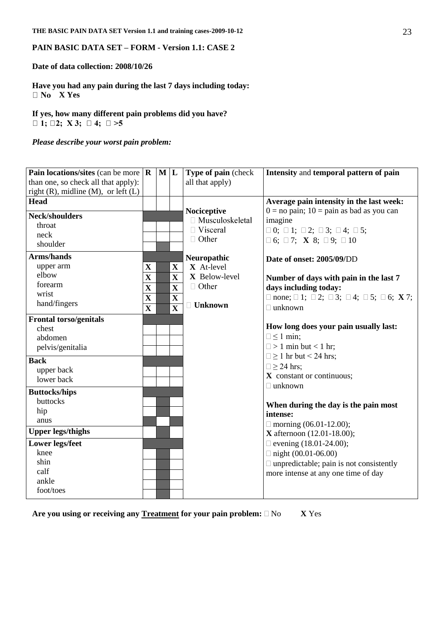### **PAIN BASIC DATA SET – FORM - Version 1.1: CASE 2**

### **Date of data collection: 2008/10/26**

**Have you had any pain during the last 7 days including today: X Yes**

**If yes, how many different pain problems did you have?**   $\Box$  1;  $\Box$  2; X 3;  $\Box$  4;  $\Box$  >5

*Please describe your worst pain problem:*

| Pain locations/sites (can be more $\  \mathbf{R} \ $ |                         | $M$  L |                         | Type of pain (check       | Intensity and temporal pattern of pain                                               |
|------------------------------------------------------|-------------------------|--------|-------------------------|---------------------------|--------------------------------------------------------------------------------------|
| than one, so check all that apply):                  |                         |        |                         | all that apply)           |                                                                                      |
| right $(R)$ , midline $(M)$ , or left $(L)$          |                         |        |                         |                           |                                                                                      |
| <b>Head</b>                                          |                         |        |                         |                           | Average pain intensity in the last week:                                             |
| <b>Neck/shoulders</b>                                |                         |        |                         | Nociceptive               | $0 =$ no pain; $10 =$ pain as bad as you can                                         |
| throat                                               |                         |        |                         | □ Musculoskeletal         | imagine                                                                              |
| neck                                                 |                         |        |                         | $\Box$ Visceral           | $\Box$ 0; $\Box$ 1; $\Box$ 2; $\Box$ 3; $\Box$ 4; $\Box$ 5;                          |
| shoulder                                             |                         |        |                         | $\Box$ Other              | $\Box$ 6; $\Box$ 7; <b>X</b> 8; $\Box$ 9; $\Box$ 10                                  |
| <b>Arms/hands</b>                                    |                         |        |                         |                           |                                                                                      |
| upper arm                                            | $\mathbf X$             |        | $\mathbf X$             | Neuropathic<br>X At-level | Date of onset: 2005/09/DD                                                            |
| elbow                                                |                         |        |                         | X Below-level             |                                                                                      |
| forearm                                              | $\mathbf X$             |        | $\mathbf X$             | $\Box$ Other              | Number of days with pain in the last 7                                               |
| wrist                                                | $\overline{\mathbf{X}}$ |        | $\mathbf X$             |                           | days including today:                                                                |
| hand/fingers                                         | $\mathbf X$             |        | $\mathbf X$             | $\Box$ Unknown            | $\Box$ none; $\Box$ 1; $\Box$ 2; $\Box$ 3; $\Box$ 4; $\Box$ 5; $\Box$ 6; <b>X</b> 7; |
|                                                      | $\overline{\mathbf{X}}$ |        | $\overline{\mathbf{X}}$ |                           | $\Box$ unknown                                                                       |
| <b>Frontal torso/genitals</b>                        |                         |        |                         |                           |                                                                                      |
| chest                                                |                         |        |                         |                           | How long does your pain usually last:                                                |
| abdomen                                              |                         |        |                         |                           | $\Box \leq 1$ min;                                                                   |
| pelvis/genitalia                                     |                         |        |                         |                           | $\Box$ > 1 min but < 1 hr;                                                           |
| <b>Back</b>                                          |                         |        |                         |                           | $\Box \ge 1$ hr but < 24 hrs;                                                        |
| upper back                                           |                         |        |                         |                           | $\Box \geq 24$ hrs;                                                                  |
| lower back                                           |                         |        |                         |                           | X constant or continuous;                                                            |
|                                                      |                         |        |                         |                           | $\Box$ unknown                                                                       |
| <b>Buttocks/hips</b><br>buttocks                     |                         |        |                         |                           |                                                                                      |
|                                                      |                         |        |                         |                           | When during the day is the pain most                                                 |
| hip                                                  |                         |        |                         |                           | intense:                                                                             |
| anus                                                 |                         |        |                         |                           | $\Box$ morning (06.01-12.00);                                                        |
| <b>Upper legs/thighs</b>                             |                         |        |                         |                           | <b>X</b> afternoon $(12.01 - 18.00)$ ;                                               |
| <b>Lower legs/feet</b>                               |                         |        |                         |                           | $\Box$ evening (18.01-24.00);                                                        |
| knee                                                 |                         |        |                         |                           | $\Box$ night (00.01-06.00)                                                           |
| shin                                                 |                         |        |                         |                           | $\Box$ unpredictable; pain is not consistently                                       |
| calf                                                 |                         |        |                         |                           | more intense at any one time of day                                                  |
| ankle                                                |                         |        |                         |                           |                                                                                      |
| foot/toes                                            |                         |        |                         |                           |                                                                                      |
|                                                      |                         |        |                         |                           |                                                                                      |

Are you using or receiving any **Treatment** for your pain problem:  $\Box$  No **X** Yes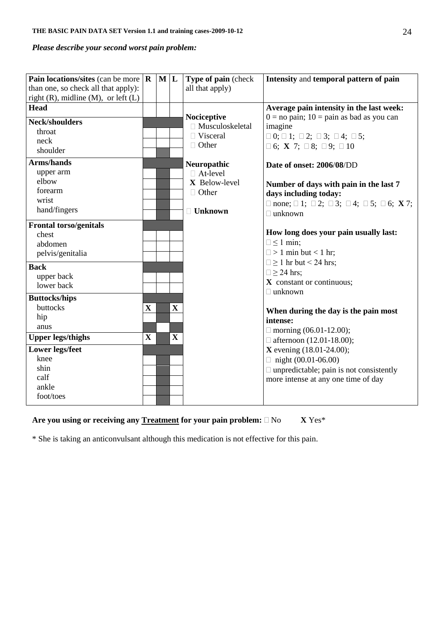# *Please describe your second worst pain problem:*

| Pain locations/sites (can be more $\mathbf R$<br>than one, so check all that apply):<br>right $(R)$ , midline $(M)$ , or left $(L)$ |              | ML |             | Type of pain (check<br>all that apply) | Intensity and temporal pattern of pain                                               |
|-------------------------------------------------------------------------------------------------------------------------------------|--------------|----|-------------|----------------------------------------|--------------------------------------------------------------------------------------|
| <b>Head</b>                                                                                                                         |              |    |             |                                        | Average pain intensity in the last week:                                             |
| <b>Neck/shoulders</b>                                                                                                               |              |    |             | Nociceptive                            | $0 =$ no pain; $10 =$ pain as bad as you can                                         |
| throat                                                                                                                              |              |    |             | $\Box$ Musculoskeletal<br>□ Visceral   | imagine                                                                              |
| neck                                                                                                                                |              |    |             | $\Box$ Other                           | $\Box$ 0; $\Box$ 1; $\Box$ 2; $\Box$ 3; $\Box$ 4; $\Box$ 5;                          |
| shoulder                                                                                                                            |              |    |             |                                        | $\Box$ 6; X 7; $\Box$ 8; $\Box$ 9; $\Box$ 10                                         |
| <b>Arms/hands</b>                                                                                                                   |              |    |             | Neuropathic                            | Date of onset: 2006/08/DD                                                            |
| upper arm                                                                                                                           |              |    |             | $\Box$ At-level                        |                                                                                      |
| elbow                                                                                                                               |              |    |             | X Below-level                          | Number of days with pain in the last 7                                               |
| forearm                                                                                                                             |              |    |             | $\Box$ Other                           | days including today:                                                                |
| wrist                                                                                                                               |              |    |             |                                        | $\Box$ none; $\Box$ 1; $\Box$ 2; $\Box$ 3; $\Box$ 4; $\Box$ 5; $\Box$ 6; <b>X</b> 7; |
| hand/fingers                                                                                                                        |              |    |             | <b>□ Unknown</b>                       | $\Box$ unknown                                                                       |
| <b>Frontal torso/genitals</b>                                                                                                       |              |    |             |                                        |                                                                                      |
| chest                                                                                                                               |              |    |             |                                        | How long does your pain usually last:                                                |
| abdomen                                                                                                                             |              |    |             |                                        | $\Box \leq 1$ min;                                                                   |
| pelvis/genitalia                                                                                                                    |              |    |             |                                        | $\Box$ > 1 min but < 1 hr;                                                           |
| <b>Back</b>                                                                                                                         |              |    |             |                                        | $\Box \ge 1$ hr but < 24 hrs;                                                        |
| upper back                                                                                                                          |              |    |             |                                        | $\Box \geq 24$ hrs;                                                                  |
| lower back                                                                                                                          |              |    |             |                                        | $\boldsymbol{X}$ constant or continuous;                                             |
| <b>Buttocks/hips</b>                                                                                                                |              |    |             |                                        | $\Box$ unknown                                                                       |
| buttocks                                                                                                                            | $\mathbf{X}$ |    | $\mathbf X$ |                                        |                                                                                      |
| hip                                                                                                                                 |              |    |             |                                        | When during the day is the pain most                                                 |
| anus                                                                                                                                |              |    |             |                                        | intense:                                                                             |
| <b>Upper legs/thighs</b>                                                                                                            | $\mathbf{X}$ |    | $\mathbf X$ |                                        | $\Box$ morning (06.01-12.00);                                                        |
|                                                                                                                                     |              |    |             |                                        | $\Box$ afternoon (12.01-18.00);                                                      |
| <b>Lower legs/feet</b><br>knee                                                                                                      |              |    |             |                                        | <b>X</b> evening $(18.01 - 24.00)$ ;                                                 |
| shin                                                                                                                                |              |    |             |                                        | $\Box$ night (00.01-06.00)                                                           |
| calf                                                                                                                                |              |    |             |                                        | $\Box$ unpredictable; pain is not consistently                                       |
| ankle                                                                                                                               |              |    |             |                                        | more intense at any one time of day                                                  |
| foot/toes                                                                                                                           |              |    |             |                                        |                                                                                      |
|                                                                                                                                     |              |    |             |                                        |                                                                                      |

# Are you using or receiving any Treatment for your pain problem:  $\Box$  No **X** Yes\*

\* She is taking an anticonvulsant although this medication is not effective for this pain.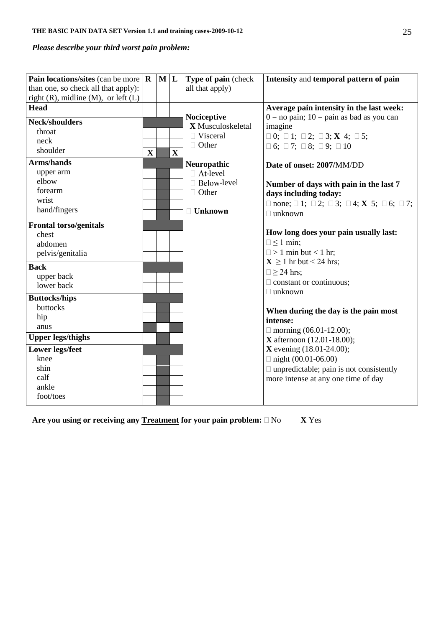# *Please describe your third worst pain problem:*

| Pain locations/sites (can be more<br>than one, so check all that apply):<br>right $(R)$ , midline $(M)$ , or left $(L)$ | $\mathbf R$ | ML |             | Type of pain (check<br>all that apply) | Intensity and temporal pattern of pain                                               |
|-------------------------------------------------------------------------------------------------------------------------|-------------|----|-------------|----------------------------------------|--------------------------------------------------------------------------------------|
| <b>Head</b>                                                                                                             |             |    |             |                                        | Average pain intensity in the last week:                                             |
| <b>Neck/shoulders</b>                                                                                                   |             |    |             | Nociceptive<br>X Musculoskeletal       | $0 =$ no pain; $10 =$ pain as bad as you can<br>imagine                              |
| throat                                                                                                                  |             |    |             | $\Box$ Visceral                        | $\Box$ 0; $\Box$ 1; $\Box$ 2; $\Box$ 3; <b>X</b> 4; $\Box$ 5;                        |
| neck                                                                                                                    |             |    |             | □ Other                                |                                                                                      |
| shoulder                                                                                                                | $\mathbf X$ |    | $\mathbf X$ |                                        | $\Box$ 6; $\Box$ 7; $\Box$ 8; $\Box$ 9; $\Box$ 10                                    |
| <b>Arms/hands</b>                                                                                                       |             |    |             | Neuropathic                            | Date of onset: 2007/MM/DD                                                            |
| upper arm                                                                                                               |             |    |             | $\Box$ At-level                        |                                                                                      |
| elbow                                                                                                                   |             |    |             | □ Below-level                          | Number of days with pain in the last 7                                               |
| forearm                                                                                                                 |             |    |             | $\Box$ Other                           | days including today:                                                                |
| wrist                                                                                                                   |             |    |             |                                        | $\Box$ none; $\Box$ 1; $\Box$ 2; $\Box$ 3; $\Box$ 4; <b>X</b> 5; $\Box$ 6; $\Box$ 7; |
| hand/fingers                                                                                                            |             |    |             | $\Box$ Unknown                         | $\Box$ unknown                                                                       |
| <b>Frontal torso/genitals</b>                                                                                           |             |    |             |                                        |                                                                                      |
| chest                                                                                                                   |             |    |             |                                        | How long does your pain usually last:                                                |
| abdomen                                                                                                                 |             |    |             |                                        | $\Box \leq 1$ min;                                                                   |
| pelvis/genitalia                                                                                                        |             |    |             |                                        | $\Box$ > 1 min but < 1 hr;                                                           |
|                                                                                                                         |             |    |             |                                        | $X \ge 1$ hr but < 24 hrs;                                                           |
| <b>Back</b>                                                                                                             |             |    |             |                                        | $\Box \geq 24$ hrs;                                                                  |
| upper back                                                                                                              |             |    |             |                                        | $\Box$ constant or continuous;                                                       |
| lower back                                                                                                              |             |    |             |                                        | $\Box$ unknown                                                                       |
| <b>Buttocks/hips</b>                                                                                                    |             |    |             |                                        |                                                                                      |
| buttocks                                                                                                                |             |    |             |                                        | When during the day is the pain most                                                 |
| hip                                                                                                                     |             |    |             |                                        | intense:                                                                             |
| anus                                                                                                                    |             |    |             |                                        | $\Box$ morning (06.01-12.00);                                                        |
| <b>Upper legs/thighs</b>                                                                                                |             |    |             |                                        | <b>X</b> afternoon $(12.01 - 18.00)$ ;                                               |
| <b>Lower legs/feet</b>                                                                                                  |             |    |             |                                        | <b>X</b> evening $(18.01 - 24.00)$ ;                                                 |
| knee                                                                                                                    |             |    |             |                                        | $\Box$ night (00.01-06.00)                                                           |
| shin                                                                                                                    |             |    |             |                                        | $\Box$ unpredictable; pain is not consistently                                       |
| calf                                                                                                                    |             |    |             |                                        | more intense at any one time of day                                                  |
| ankle                                                                                                                   |             |    |             |                                        |                                                                                      |
| foot/toes                                                                                                               |             |    |             |                                        |                                                                                      |
|                                                                                                                         |             |    |             |                                        |                                                                                      |

Are you using or receiving any **Treatment** for your pain problem:  $\Box$  No **X** Yes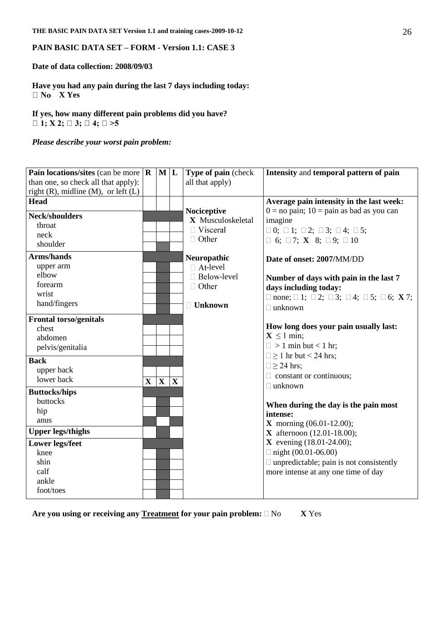### **PAIN BASIC DATA SET – FORM - Version 1.1: CASE 3**

**Date of data collection: 2008/09/03**

**Have you had any pain during the last 7 days including today: X Yes**

**If yes, how many different pain problems did you have?**   $\Box$  1; X 2;  $\Box$  3;  $\Box$  4;  $\Box$  >5

*Please describe your worst pain problem:*

| Pain locations/sites (can be more $\  \mathbf{R} \ $ |                                                             |              | Type of pain (check | Intensity and temporal pattern of pain                                                                                                                                           |
|------------------------------------------------------|-------------------------------------------------------------|--------------|---------------------|----------------------------------------------------------------------------------------------------------------------------------------------------------------------------------|
|                                                      |                                                             |              |                     |                                                                                                                                                                                  |
|                                                      |                                                             |              |                     |                                                                                                                                                                                  |
|                                                      |                                                             |              |                     | Average pain intensity in the last week:                                                                                                                                         |
|                                                      |                                                             |              |                     | $0 = no$ pain; $10 = p$ ain as bad as you can                                                                                                                                    |
|                                                      |                                                             |              |                     | imagine                                                                                                                                                                          |
|                                                      |                                                             |              |                     | $\Box$ 0; $\Box$ 1; $\Box$ 2; $\Box$ 3; $\Box$ 4; $\Box$ 5;                                                                                                                      |
|                                                      |                                                             |              |                     | $\Box$ 6; $\Box$ 7; <b>X</b> 8; $\Box$ 9; $\Box$ 10                                                                                                                              |
|                                                      |                                                             |              |                     |                                                                                                                                                                                  |
|                                                      |                                                             |              |                     | Date of onset: 2007/MM/DD                                                                                                                                                        |
|                                                      |                                                             |              |                     |                                                                                                                                                                                  |
|                                                      |                                                             |              |                     | Number of days with pain in the last 7                                                                                                                                           |
|                                                      |                                                             |              |                     | days including today:                                                                                                                                                            |
|                                                      |                                                             |              |                     | $\Box$ none; $\Box$ 1; $\Box$ 2; $\Box$ 3; $\Box$ 4; $\Box$ 5; $\Box$ 6; <b>X</b> 7;                                                                                             |
|                                                      |                                                             |              |                     | $\Box$ unknown                                                                                                                                                                   |
|                                                      |                                                             |              |                     |                                                                                                                                                                                  |
|                                                      |                                                             |              |                     | How long does your pain usually last:                                                                                                                                            |
|                                                      |                                                             |              |                     | $X \leq 1$ min;                                                                                                                                                                  |
|                                                      |                                                             |              |                     | $\Box$ > 1 min but < 1 hr;                                                                                                                                                       |
|                                                      |                                                             |              |                     | $\Box \ge 1$ hr but < 24 hrs;                                                                                                                                                    |
|                                                      |                                                             |              |                     | $\Box \geq 24$ hrs;                                                                                                                                                              |
|                                                      |                                                             |              |                     | $\Box$ constant or continuous;                                                                                                                                                   |
|                                                      |                                                             |              |                     | $\Box$ unknown                                                                                                                                                                   |
|                                                      |                                                             |              |                     |                                                                                                                                                                                  |
|                                                      |                                                             |              |                     | When during the day is the pain most                                                                                                                                             |
|                                                      |                                                             |              |                     | intense:                                                                                                                                                                         |
|                                                      |                                                             |              |                     | <b>X</b> morning $(06.01 - 12.00)$ ;                                                                                                                                             |
|                                                      |                                                             |              |                     | <b>X</b> afternoon $(12.01-18.00)$ ;                                                                                                                                             |
|                                                      |                                                             |              |                     | <b>X</b> evening $(18.01 - 24.00)$ ;                                                                                                                                             |
|                                                      |                                                             |              |                     | $\Box$ night (00.01-06.00)                                                                                                                                                       |
|                                                      |                                                             |              |                     | $\Box$ unpredictable; pain is not consistently                                                                                                                                   |
|                                                      |                                                             |              |                     | more intense at any one time of day                                                                                                                                              |
|                                                      |                                                             |              |                     |                                                                                                                                                                                  |
|                                                      |                                                             |              |                     |                                                                                                                                                                                  |
| than one, so check all that apply):                  | right $(R)$ , midline $(M)$ , or left $(L)$<br>$\mathbf{X}$ | $\mathbf{X}$ | $M$  L<br>X         | all that apply)<br>Nociceptive<br>X Musculoskeletal<br>$\Box$ Visceral<br>$\Box$ Other<br>Neuropathic<br>$\Box$ At-level<br>$\Box$ Below-level<br>$\Box$ Other<br>$\Box$ Unknown |

Are you using or receiving any **Treatment** for your pain problem:  $\Box$  No **X** Yes